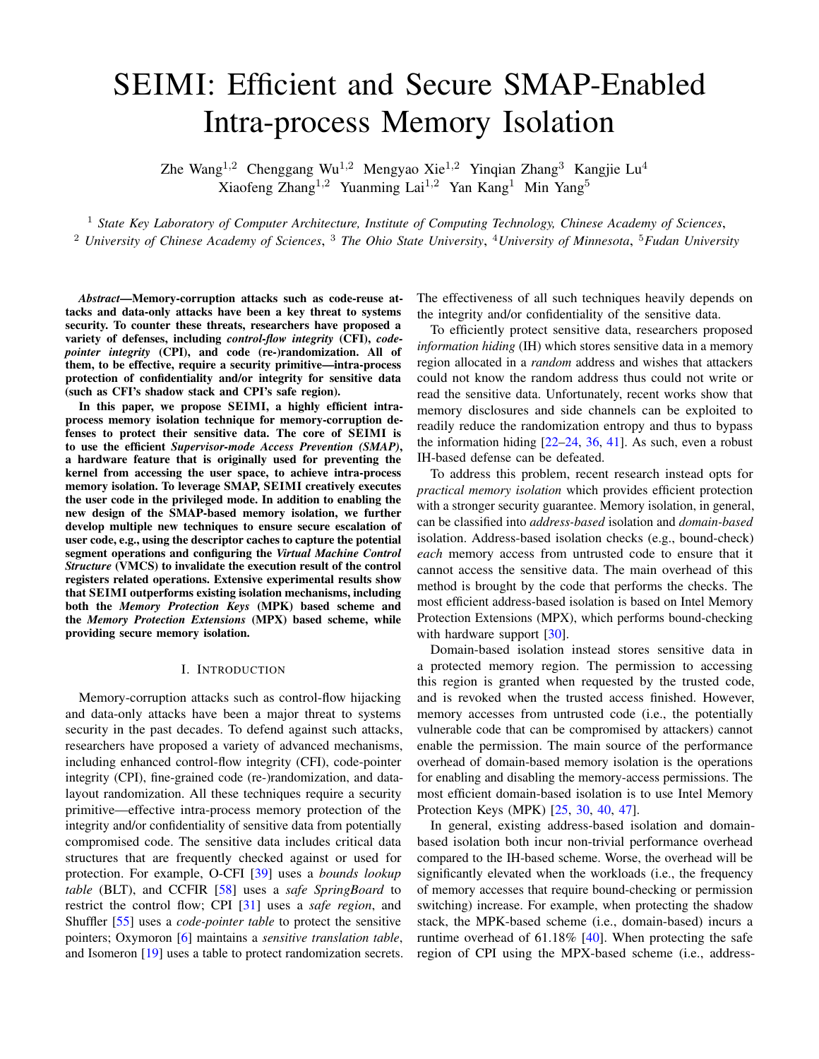# SEIMI: Efficient and Secure SMAP-Enabled Intra-process Memory Isolation

Zhe Wang<sup>1,2</sup> Chenggang Wu<sup>1,2</sup> Mengyao Xie<sup>1,2</sup> Yinqian Zhang<sup>3</sup> Kangjie Lu<sup>4</sup> Xiaofeng Zhang<sup>1,2</sup> Yuanming Lai<sup>1,2</sup> Yan Kang<sup>1</sup> Min Yang<sup>5</sup>

<sup>1</sup> *State Key Laboratory of Computer Architecture, Institute of Computing Technology, Chinese Academy of Sciences*, <sup>2</sup> *University of Chinese Academy of Sciences*, <sup>3</sup> *The Ohio State University*, <sup>4</sup>*University of Minnesota*, <sup>5</sup>*Fudan University*

*Abstract*—Memory-corruption attacks such as code-reuse attacks and data-only attacks have been a key threat to systems security. To counter these threats, researchers have proposed a variety of defenses, including *control-flow integrity* (CFI), *codepointer integrity* (CPI), and code (re-)randomization. All of them, to be effective, require a security primitive—intra-process protection of confidentiality and/or integrity for sensitive data (such as CFI's shadow stack and CPI's safe region).

In this paper, we propose SEIMI, a highly efficient intraprocess memory isolation technique for memory-corruption defenses to protect their sensitive data. The core of SEIMI is to use the efficient *Supervisor-mode Access Prevention (SMAP)*, a hardware feature that is originally used for preventing the kernel from accessing the user space, to achieve intra-process memory isolation. To leverage SMAP, SEIMI creatively executes the user code in the privileged mode. In addition to enabling the new design of the SMAP-based memory isolation, we further develop multiple new techniques to ensure secure escalation of user code, e.g., using the descriptor caches to capture the potential segment operations and configuring the *Virtual Machine Control Structure* (VMCS) to invalidate the execution result of the control registers related operations. Extensive experimental results show that SEIMI outperforms existing isolation mechanisms, including both the *Memory Protection Keys* (MPK) based scheme and the *Memory Protection Extensions* (MPX) based scheme, while providing secure memory isolation.

#### I. INTRODUCTION

Memory-corruption attacks such as control-flow hijacking and data-only attacks have been a major threat to systems security in the past decades. To defend against such attacks, researchers have proposed a variety of advanced mechanisms, including enhanced control-flow integrity (CFI), code-pointer integrity (CPI), fine-grained code (re-)randomization, and datalayout randomization. All these techniques require a security primitive—effective intra-process memory protection of the integrity and/or confidentiality of sensitive data from potentially compromised code. The sensitive data includes critical data structures that are frequently checked against or used for protection. For example, O-CFI [\[39\]](#page-14-0) uses a *bounds lookup table* (BLT), and CCFIR [\[58\]](#page-15-0) uses a *safe SpringBoard* to restrict the control flow; CPI [\[31\]](#page-14-1) uses a *safe region*, and Shuffler [\[55\]](#page-15-1) uses a *code-pointer table* to protect the sensitive pointers; Oxymoron [\[6\]](#page-13-0) maintains a *sensitive translation table*, and Isomeron [\[19\]](#page-14-2) uses a table to protect randomization secrets. The effectiveness of all such techniques heavily depends on the integrity and/or confidentiality of the sensitive data.

To efficiently protect sensitive data, researchers proposed *information hiding* (IH) which stores sensitive data in a memory region allocated in a *random* address and wishes that attackers could not know the random address thus could not write or read the sensitive data. Unfortunately, recent works show that memory disclosures and side channels can be exploited to readily reduce the randomization entropy and thus to bypass the information hiding  $[22-24, 36, 41]$  $[22-24, 36, 41]$  $[22-24, 36, 41]$  $[22-24, 36, 41]$  $[22-24, 36, 41]$  $[22-24, 36, 41]$ . As such, even a robust IH-based defense can be defeated.

To address this problem, recent research instead opts for *practical memory isolation* which provides efficient protection with a stronger security guarantee. Memory isolation, in general, can be classified into *address-based* isolation and *domain-based* isolation. Address-based isolation checks (e.g., bound-check) *each* memory access from untrusted code to ensure that it cannot access the sensitive data. The main overhead of this method is brought by the code that performs the checks. The most efficient address-based isolation is based on Intel Memory Protection Extensions (MPX), which performs bound-checking with hardware support [\[30\]](#page-14-7).

Domain-based isolation instead stores sensitive data in a protected memory region. The permission to accessing this region is granted when requested by the trusted code, and is revoked when the trusted access finished. However, memory accesses from untrusted code (i.e., the potentially vulnerable code that can be compromised by attackers) cannot enable the permission. The main source of the performance overhead of domain-based memory isolation is the operations for enabling and disabling the memory-access permissions. The most efficient domain-based isolation is to use Intel Memory Protection Keys (MPK) [\[25,](#page-14-8) [30,](#page-14-7) [40,](#page-14-9) [47\]](#page-14-10).

In general, existing address-based isolation and domainbased isolation both incur non-trivial performance overhead compared to the IH-based scheme. Worse, the overhead will be significantly elevated when the workloads (i.e., the frequency of memory accesses that require bound-checking or permission switching) increase. For example, when protecting the shadow stack, the MPK-based scheme (i.e., domain-based) incurs a runtime overhead of 61.18% [\[40\]](#page-14-9). When protecting the safe region of CPI using the MPX-based scheme (i.e., address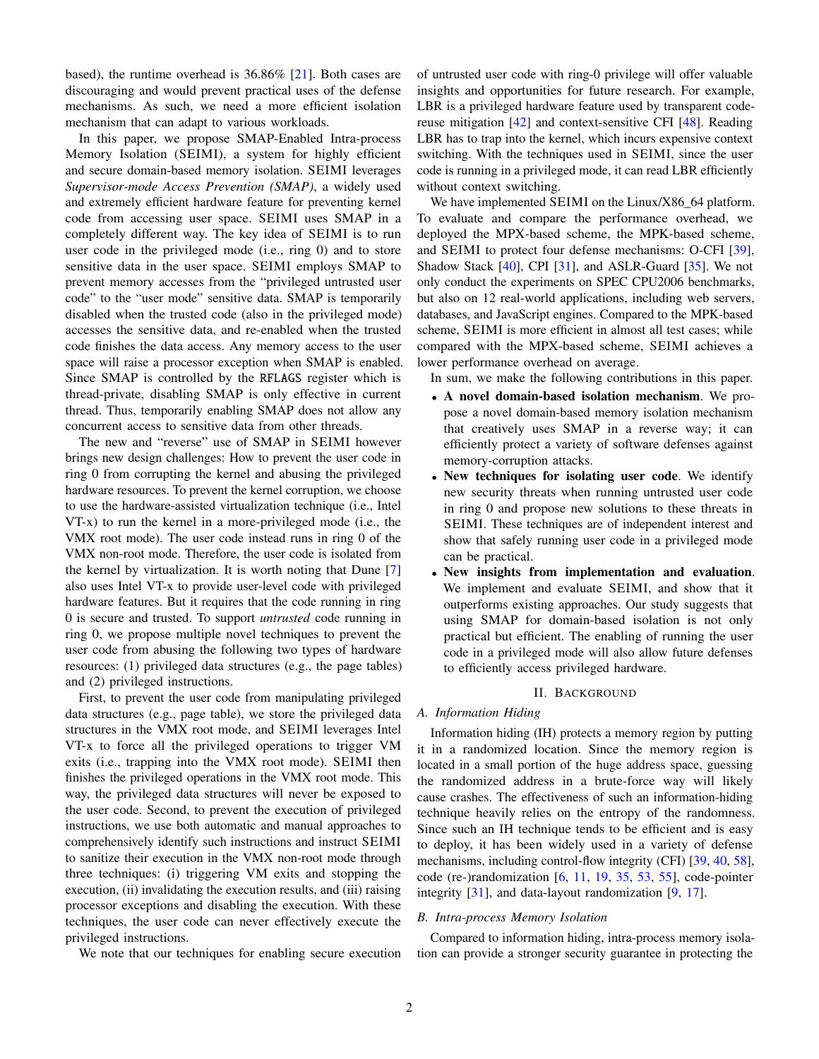based), the runtime overhead is 36.86% [\[21\]](#page-14-11). Both cases are discouraging and would prevent practical uses of the defense mechanisms. As such, we need a more efficient isolation mechanism that can adapt to various workloads.

In this paper, we propose SMAP-Enabled Intra-process Memory Isolation (SEIMI), a system for highly efficient and secure domain-based memory isolation. SEIMI leverages *Supervisor-mode Access Prevention (SMAP)*, a widely used and extremely efficient hardware feature for preventing kernel code from accessing user space. SEIMI uses SMAP in a completely different way. The key idea of SEIMI is to run user code in the privileged mode (i.e., ring 0) and to store sensitive data in the user space. SEIMI employs SMAP to prevent memory accesses from the "privileged untrusted user code" to the "user mode" sensitive data. SMAP is temporarily disabled when the trusted code (also in the privileged mode) accesses the sensitive data, and re-enabled when the trusted code finishes the data access. Any memory access to the user space will raise a processor exception when SMAP is enabled. Since SMAP is controlled by the RFLAGS register which is thread-private, disabling SMAP is only effective in current thread. Thus, temporarily enabling SMAP does not allow any concurrent access to sensitive data from other threads.

The new and "reverse" use of SMAP in SEIMI however brings new design challenges: How to prevent the user code in ring 0 from corrupting the kernel and abusing the privileged hardware resources. To prevent the kernel corruption, we choose to use the hardware-assisted virtualization technique (i.e., Intel VT-x) to run the kernel in a more-privileged mode (i.e., the VMX root mode). The user code instead runs in ring 0 of the VMX non-root mode. Therefore, the user code is isolated from the kernel by virtualization. It is worth noting that Dune [\[7\]](#page-13-1) also uses Intel VT-x to provide user-level code with privileged hardware features. But it requires that the code running in ring 0 is secure and trusted. To support *untrusted* code running in ring 0, we propose multiple novel techniques to prevent the user code from abusing the following two types of hardware resources: (1) privileged data structures (e.g., the page tables) and (2) privileged instructions.

First, to prevent the user code from manipulating privileged data structures (e.g., page table), we store the privileged data structures in the VMX root mode, and SEIMI leverages Intel VT-x to force all the privileged operations to trigger VM exits (i.e., trapping into the VMX root mode). SEIMI then finishes the privileged operations in the VMX root mode. This way, the privileged data structures will never be exposed to the user code. Second, to prevent the execution of privileged instructions, we use both automatic and manual approaches to comprehensively identify such instructions and instruct SEIMI to sanitize their execution in the VMX non-root mode through three techniques: (i) triggering VM exits and stopping the execution, (ii) invalidating the execution results, and (iii) raising processor exceptions and disabling the execution. With these techniques, the user code can never effectively execute the privileged instructions.

We note that our techniques for enabling secure execution

of untrusted user code with ring-0 privilege will offer valuable insights and opportunities for future research. For example, LBR is a privileged hardware feature used by transparent codereuse mitigation [\[42\]](#page-14-12) and context-sensitive CFI [\[48\]](#page-14-13). Reading LBR has to trap into the kernel, which incurs expensive context switching. With the techniques used in SEIMI, since the user code is running in a privileged mode, it can read LBR efficiently without context switching.

We have implemented SEIMI on the Linux/X86\_64 platform. To evaluate and compare the performance overhead, we deployed the MPX-based scheme, the MPK-based scheme, and SEIMI to protect four defense mechanisms: O-CFI [\[39\]](#page-14-0), Shadow Stack [\[40\]](#page-14-9), CPI [\[31\]](#page-14-1), and ASLR-Guard [\[35\]](#page-14-14). We not only conduct the experiments on SPEC CPU2006 benchmarks, but also on 12 real-world applications, including web servers, databases, and JavaScript engines. Compared to the MPK-based scheme, SEIMI is more efficient in almost all test cases; while compared with the MPX-based scheme, SEIMI achieves a lower performance overhead on average.

In sum, we make the following contributions in this paper.

- A novel domain-based isolation mechanism. We propose a novel domain-based memory isolation mechanism that creatively uses SMAP in a reverse way; it can efficiently protect a variety of software defenses against memory-corruption attacks.
- New techniques for isolating user code. We identify new security threats when running untrusted user code in ring 0 and propose new solutions to these threats in SEIMI. These techniques are of independent interest and show that safely running user code in a privileged mode can be practical.
- New insights from implementation and evaluation. We implement and evaluate SEIMI, and show that it outperforms existing approaches. Our study suggests that using SMAP for domain-based isolation is not only practical but efficient. The enabling of running the user code in a privileged mode will also allow future defenses to efficiently access privileged hardware.

# II. BACKGROUND

# *A. Information Hiding*

Information hiding (IH) protects a memory region by putting it in a randomized location. Since the memory region is located in a small portion of the huge address space, guessing the randomized address in a brute-force way will likely cause crashes. The effectiveness of such an information-hiding technique heavily relies on the entropy of the randomness. Since such an IH technique tends to be efficient and is easy to deploy, it has been widely used in a variety of defense mechanisms, including control-flow integrity (CFI) [\[39,](#page-14-0) [40,](#page-14-9) [58\]](#page-15-0), code (re-)randomization [\[6,](#page-13-0) [11,](#page-13-2) [19,](#page-14-2) [35,](#page-14-14) [53,](#page-15-2) [55\]](#page-15-1), code-pointer integrity [\[31\]](#page-14-1), and data-layout randomization [\[9,](#page-13-3) [17\]](#page-14-15).

# <span id="page-1-0"></span>*B. Intra-process Memory Isolation*

Compared to information hiding, intra-process memory isolation can provide a stronger security guarantee in protecting the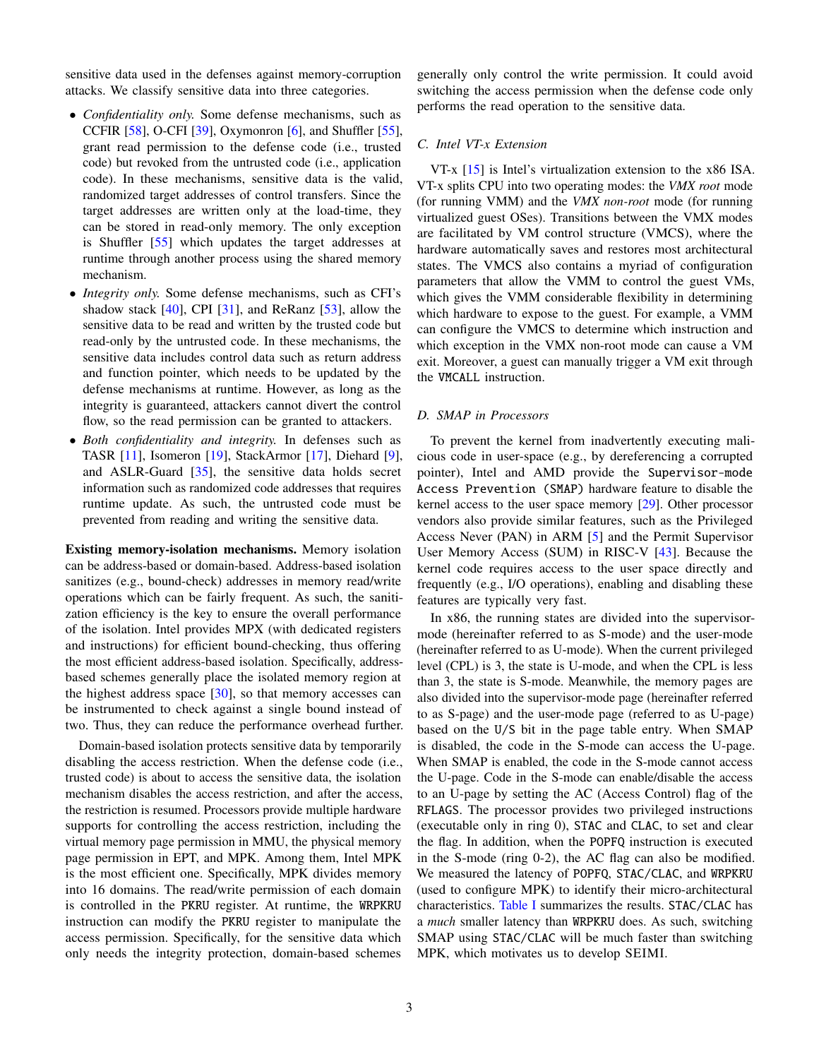sensitive data used in the defenses against memory-corruption attacks. We classify sensitive data into three categories.

- *Confidentiality only.* Some defense mechanisms, such as CCFIR [\[58\]](#page-15-0), O-CFI [\[39\]](#page-14-0), Oxymonron [\[6\]](#page-13-0), and Shuffler [\[55\]](#page-15-1), grant read permission to the defense code (i.e., trusted code) but revoked from the untrusted code (i.e., application code). In these mechanisms, sensitive data is the valid, randomized target addresses of control transfers. Since the target addresses are written only at the load-time, they can be stored in read-only memory. The only exception is Shuffler [\[55\]](#page-15-1) which updates the target addresses at runtime through another process using the shared memory mechanism.
- *Integrity only.* Some defense mechanisms, such as CFI's shadow stack [\[40\]](#page-14-9), CPI [\[31\]](#page-14-1), and ReRanz [\[53\]](#page-15-2), allow the sensitive data to be read and written by the trusted code but read-only by the untrusted code. In these mechanisms, the sensitive data includes control data such as return address and function pointer, which needs to be updated by the defense mechanisms at runtime. However, as long as the integrity is guaranteed, attackers cannot divert the control flow, so the read permission can be granted to attackers.
- *Both confidentiality and integrity.* In defenses such as TASR [\[11\]](#page-13-2), Isomeron [\[19\]](#page-14-2), StackArmor [\[17\]](#page-14-15), Diehard [\[9\]](#page-13-3), and ASLR-Guard [\[35\]](#page-14-14), the sensitive data holds secret information such as randomized code addresses that requires runtime update. As such, the untrusted code must be prevented from reading and writing the sensitive data.

Existing memory-isolation mechanisms. Memory isolation can be address-based or domain-based. Address-based isolation sanitizes (e.g., bound-check) addresses in memory read/write operations which can be fairly frequent. As such, the sanitization efficiency is the key to ensure the overall performance of the isolation. Intel provides MPX (with dedicated registers and instructions) for efficient bound-checking, thus offering the most efficient address-based isolation. Specifically, addressbased schemes generally place the isolated memory region at the highest address space  $[30]$ , so that memory accesses can be instrumented to check against a single bound instead of two. Thus, they can reduce the performance overhead further.

Domain-based isolation protects sensitive data by temporarily disabling the access restriction. When the defense code (i.e., trusted code) is about to access the sensitive data, the isolation mechanism disables the access restriction, and after the access, the restriction is resumed. Processors provide multiple hardware supports for controlling the access restriction, including the virtual memory page permission in MMU, the physical memory page permission in EPT, and MPK. Among them, Intel MPK is the most efficient one. Specifically, MPK divides memory into 16 domains. The read/write permission of each domain is controlled in the PKRU register. At runtime, the WRPKRU instruction can modify the PKRU register to manipulate the access permission. Specifically, for the sensitive data which only needs the integrity protection, domain-based schemes

generally only control the write permission. It could avoid switching the access permission when the defense code only performs the read operation to the sensitive data.

## *C. Intel VT-x Extension*

VT-x [\[15\]](#page-14-16) is Intel's virtualization extension to the x86 ISA. VT-x splits CPU into two operating modes: the *VMX root* mode (for running VMM) and the *VMX non-root* mode (for running virtualized guest OSes). Transitions between the VMX modes are facilitated by VM control structure (VMCS), where the hardware automatically saves and restores most architectural states. The VMCS also contains a myriad of configuration parameters that allow the VMM to control the guest VMs, which gives the VMM considerable flexibility in determining which hardware to expose to the guest. For example, a VMM can configure the VMCS to determine which instruction and which exception in the VMX non-root mode can cause a VM exit. Moreover, a guest can manually trigger a VM exit through the VMCALL instruction.

## <span id="page-2-0"></span>*D. SMAP in Processors*

To prevent the kernel from inadvertently executing malicious code in user-space (e.g., by dereferencing a corrupted pointer), Intel and AMD provide the Supervisor-mode Access Prevention (SMAP) hardware feature to disable the kernel access to the user space memory [\[29\]](#page-14-17). Other processor vendors also provide similar features, such as the Privileged Access Never (PAN) in ARM [\[5\]](#page-13-4) and the Permit Supervisor User Memory Access (SUM) in RISC-V [\[43\]](#page-14-18). Because the kernel code requires access to the user space directly and frequently (e.g., I/O operations), enabling and disabling these features are typically very fast.

In x86, the running states are divided into the supervisormode (hereinafter referred to as S-mode) and the user-mode (hereinafter referred to as U-mode). When the current privileged level (CPL) is 3, the state is U-mode, and when the CPL is less than 3, the state is S-mode. Meanwhile, the memory pages are also divided into the supervisor-mode page (hereinafter referred to as S-page) and the user-mode page (referred to as U-page) based on the U/S bit in the page table entry. When SMAP is disabled, the code in the S-mode can access the U-page. When SMAP is enabled, the code in the S-mode cannot access the U-page. Code in the S-mode can enable/disable the access to an U-page by setting the AC (Access Control) flag of the RFLAGS. The processor provides two privileged instructions (executable only in ring 0), STAC and CLAC, to set and clear the flag. In addition, when the POPFQ instruction is executed in the S-mode (ring 0-2), the AC flag can also be modified. We measured the latency of POPFQ, STAC/CLAC, and WRPKRU (used to configure MPK) to identify their micro-architectural characteristics. [Table I](#page-3-0) summarizes the results. STAC/CLAC has a *much* smaller latency than WRPKRU does. As such, switching SMAP using STAC/CLAC will be much faster than switching MPK, which motivates us to develop SEIMI.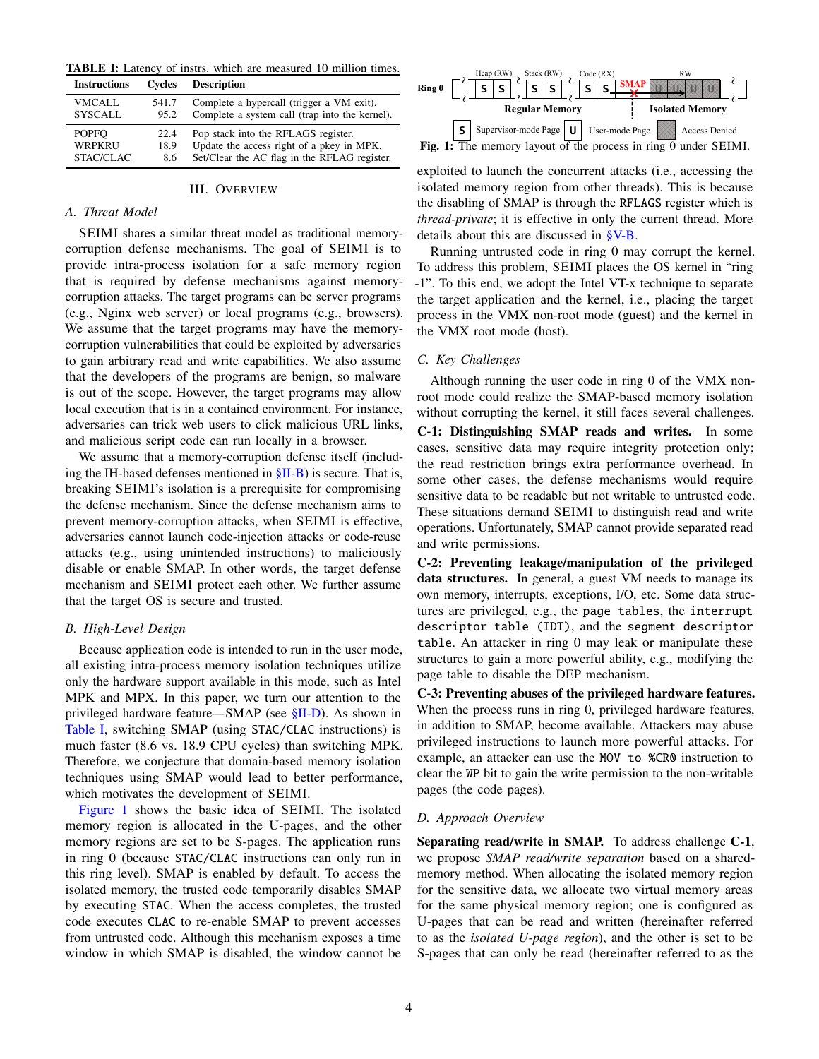<span id="page-3-0"></span>TABLE I: Latency of instrs. which are measured 10 million times.

| <b>Instructions</b> | Cycles | <b>Description</b>                             |
|---------------------|--------|------------------------------------------------|
| <b>VMCALL</b>       | 541.7  | Complete a hypercall (trigger a VM exit).      |
| <b>SYSCALL</b>      | 95.2   | Complete a system call (trap into the kernel). |
| <b>POPFO</b>        | 22.4   | Pop stack into the RFLAGS register.            |
| WRPKRU              | 18.9   | Update the access right of a pkey in MPK.      |
| STAC/CLAC           | 8.6    | Set/Clear the AC flag in the RFLAG register.   |

## III. OVERVIEW

## *A. Threat Model*

SEIMI shares a similar threat model as traditional memorycorruption defense mechanisms. The goal of SEIMI is to provide intra-process isolation for a safe memory region that is required by defense mechanisms against memorycorruption attacks. The target programs can be server programs (e.g., Nginx web server) or local programs (e.g., browsers). We assume that the target programs may have the memorycorruption vulnerabilities that could be exploited by adversaries to gain arbitrary read and write capabilities. We also assume that the developers of the programs are benign, so malware is out of the scope. However, the target programs may allow local execution that is in a contained environment. For instance, adversaries can trick web users to click malicious URL links, and malicious script code can run locally in a browser.

We assume that a memory-corruption defense itself (including the IH-based defenses mentioned in [§II-B\)](#page-1-0) is secure. That is, breaking SEIMI's isolation is a prerequisite for compromising the defense mechanism. Since the defense mechanism aims to prevent memory-corruption attacks, when SEIMI is effective, adversaries cannot launch code-injection attacks or code-reuse attacks (e.g., using unintended instructions) to maliciously disable or enable SMAP. In other words, the target defense mechanism and SEIMI protect each other. We further assume that the target OS is secure and trusted.

#### <span id="page-3-2"></span>*B. High-Level Design*

Because application code is intended to run in the user mode, all existing intra-process memory isolation techniques utilize only the hardware support available in this mode, such as Intel MPK and MPX. In this paper, we turn our attention to the privileged hardware feature—SMAP (see [§II-D\)](#page-2-0). As shown in [Table I,](#page-3-0) switching SMAP (using STAC/CLAC instructions) is much faster (8.6 vs. 18.9 CPU cycles) than switching MPK. Therefore, we conjecture that domain-based memory isolation techniques using SMAP would lead to better performance, which motivates the development of SEIMI.

[Figure 1](#page-3-1) shows the basic idea of SEIMI. The isolated memory region is allocated in the U-pages, and the other memory regions are set to be S-pages. The application runs in ring 0 (because STAC/CLAC instructions can only run in this ring level). SMAP is enabled by default. To access the isolated memory, the trusted code temporarily disables SMAP by executing STAC. When the access completes, the trusted code executes CLAC to re-enable SMAP to prevent accesses from untrusted code. Although this mechanism exposes a time window in which SMAP is disabled, the window cannot be

<span id="page-3-1"></span>

exploited to launch the concurrent attacks (i.e., accessing the isolated memory region from other threads). This is because the disabling of SMAP is through the RFLAGS register which is *thread-private*; it is effective in only the current thread. More details about this are discussed in [§V-B.](#page-8-0)

Running untrusted code in ring 0 may corrupt the kernel. To address this problem, SEIMI places the OS kernel in "ring -1". To this end, we adopt the Intel VT-x technique to separate the target application and the kernel, i.e., placing the target process in the VMX non-root mode (guest) and the kernel in the VMX root mode (host).

# *C. Key Challenges*

Although running the user code in ring 0 of the VMX nonroot mode could realize the SMAP-based memory isolation without corrupting the kernel, it still faces several challenges. C-1: Distinguishing SMAP reads and writes. In some cases, sensitive data may require integrity protection only; the read restriction brings extra performance overhead. In some other cases, the defense mechanisms would require sensitive data to be readable but not writable to untrusted code. These situations demand SEIMI to distinguish read and write operations. Unfortunately, SMAP cannot provide separated read and write permissions.

C-2: Preventing leakage/manipulation of the privileged data structures. In general, a guest VM needs to manage its own memory, interrupts, exceptions, I/O, etc. Some data structures are privileged, e.g., the page tables, the interrupt descriptor table (IDT), and the segment descriptor table. An attacker in ring 0 may leak or manipulate these structures to gain a more powerful ability, e.g., modifying the page table to disable the DEP mechanism.

C-3: Preventing abuses of the privileged hardware features. When the process runs in ring 0, privileged hardware features, in addition to SMAP, become available. Attackers may abuse privileged instructions to launch more powerful attacks. For example, an attacker can use the MOV to %CR0 instruction to clear the WP bit to gain the write permission to the non-writable pages (the code pages).

#### *D. Approach Overview*

Separating read/write in SMAP. To address challenge C-1, we propose *SMAP read/write separation* based on a sharedmemory method. When allocating the isolated memory region for the sensitive data, we allocate two virtual memory areas for the same physical memory region; one is configured as U-pages that can be read and written (hereinafter referred to as the *isolated U-page region*), and the other is set to be S-pages that can only be read (hereinafter referred to as the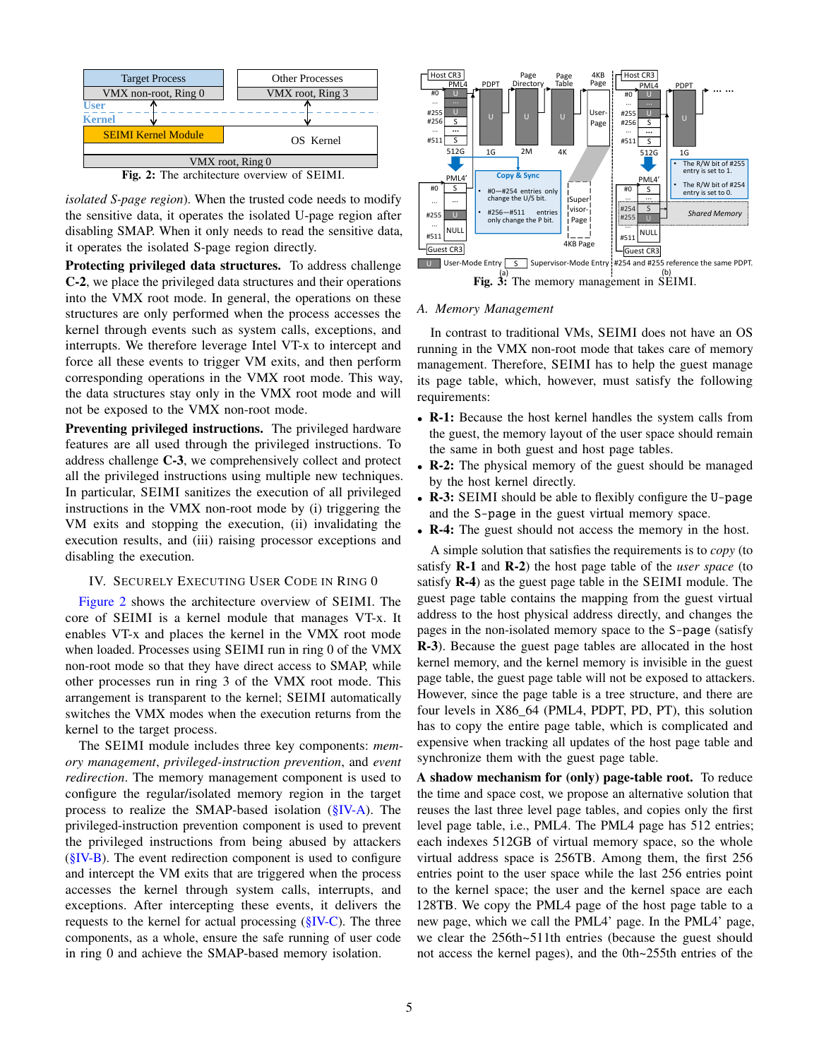<span id="page-4-0"></span>

Fig. 2: The architecture overview of SEIMI.

*isolated S-page region*). When the trusted code needs to modify the sensitive data, it operates the isolated U-page region after disabling SMAP. When it only needs to read the sensitive data, it operates the isolated S-page region directly.

Protecting privileged data structures. To address challenge C-2, we place the privileged data structures and their operations into the VMX root mode. In general, the operations on these structures are only performed when the process accesses the kernel through events such as system calls, exceptions, and interrupts. We therefore leverage Intel VT-x to intercept and force all these events to trigger VM exits, and then perform corresponding operations in the VMX root mode. This way, the data structures stay only in the VMX root mode and will not be exposed to the VMX non-root mode.

Preventing privileged instructions. The privileged hardware features are all used through the privileged instructions. To address challenge C-3, we comprehensively collect and protect all the privileged instructions using multiple new techniques. In particular, SEIMI sanitizes the execution of all privileged instructions in the VMX non-root mode by (i) triggering the VM exits and stopping the execution, (ii) invalidating the execution results, and (iii) raising processor exceptions and disabling the execution.

## <span id="page-4-3"></span>IV. SECURELY EXECUTING USER CODE IN RING 0

[Figure 2](#page-4-0) shows the architecture overview of SEIMI. The core of SEIMI is a kernel module that manages VT-x. It enables VT-x and places the kernel in the VMX root mode when loaded. Processes using SEIMI run in ring 0 of the VMX non-root mode so that they have direct access to SMAP, while other processes run in ring 3 of the VMX root mode. This arrangement is transparent to the kernel; SEIMI automatically switches the VMX modes when the execution returns from the kernel to the target process.

The SEIMI module includes three key components: *memory management*, *privileged-instruction prevention*, and *event redirection*. The memory management component is used to configure the regular/isolated memory region in the target process to realize the SMAP-based isolation [\(§IV-A\)](#page-4-1). The privileged-instruction prevention component is used to prevent the privileged instructions from being abused by attackers  $(\S$ IV-B). The event redirection component is used to configure and intercept the VM exits that are triggered when the process accesses the kernel through system calls, interrupts, and exceptions. After intercepting these events, it delivers the requests to the kernel for actual processing [\(§IV-C\)](#page-7-0). The three components, as a whole, ensure the safe running of user code in ring 0 and achieve the SMAP-based memory isolation.

<span id="page-4-2"></span>

#### <span id="page-4-1"></span>*A. Memory Management*

In contrast to traditional VMs, SEIMI does not have an OS running in the VMX non-root mode that takes care of memory management. Therefore, SEIMI has to help the guest manage its page table, which, however, must satisfy the following requirements:

- R-1: Because the host kernel handles the system calls from the guest, the memory layout of the user space should remain the same in both guest and host page tables.
- **R-2:** The physical memory of the guest should be managed by the host kernel directly.
- **R-3:** SEIMI should be able to flexibly configure the U-page and the S-page in the guest virtual memory space.
- R-4: The guest should not access the memory in the host.

A simple solution that satisfies the requirements is to *copy* (to satisfy R-1 and R-2) the host page table of the *user space* (to satisfy R-4) as the guest page table in the SEIMI module. The guest page table contains the mapping from the guest virtual address to the host physical address directly, and changes the pages in the non-isolated memory space to the S-page (satisfy R-3). Because the guest page tables are allocated in the host kernel memory, and the kernel memory is invisible in the guest page table, the guest page table will not be exposed to attackers. However, since the page table is a tree structure, and there are four levels in X86\_64 (PML4, PDPT, PD, PT), this solution has to copy the entire page table, which is complicated and expensive when tracking all updates of the host page table and synchronize them with the guest page table.

A shadow mechanism for (only) page-table root. To reduce the time and space cost, we propose an alternative solution that reuses the last three level page tables, and copies only the first level page table, i.e., PML4. The PML4 page has 512 entries; each indexes 512GB of virtual memory space, so the whole virtual address space is 256TB. Among them, the first 256 entries point to the user space while the last 256 entries point to the kernel space; the user and the kernel space are each 128TB. We copy the PML4 page of the host page table to a new page, which we call the PML4' page. In the PML4' page, we clear the 256th~511th entries (because the guest should not access the kernel pages), and the 0th~255th entries of the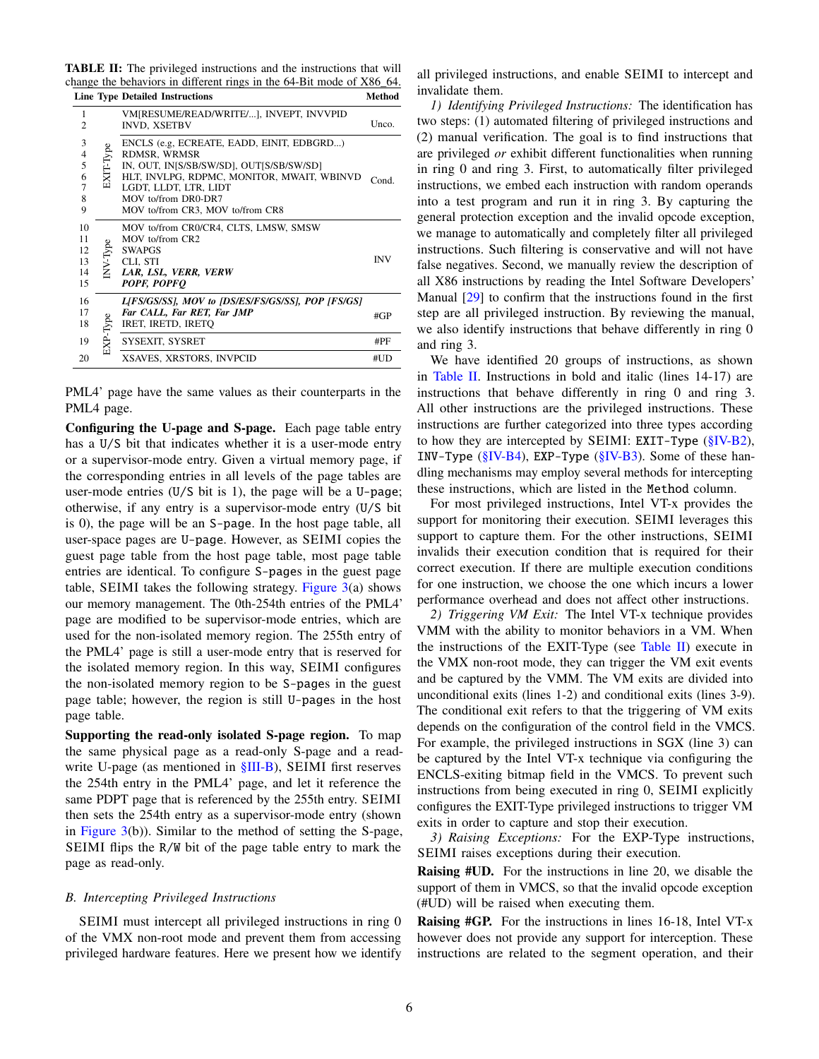<span id="page-5-1"></span>TABLE II: The privileged instructions and the instructions that will change the behaviors in different rings in the 64-Bit mode of X86\_64.

|                                                                     |            | <b>Line Type Detailed Instructions</b>                                                                                                                                                                                                  | Method     |
|---------------------------------------------------------------------|------------|-----------------------------------------------------------------------------------------------------------------------------------------------------------------------------------------------------------------------------------------|------------|
| 1<br>$\overline{c}$                                                 |            | VM[RESUME/READ/WRITE/], INVEPT, INVVPID<br><b>INVD, XSETBV</b>                                                                                                                                                                          | Unco.      |
| 3<br>$\overline{\mathcal{L}}$<br>5<br>6<br>$\overline{7}$<br>8<br>9 | EXIT-Type  | ENCLS (e.g. ECREATE, EADD, EINIT, EDBGRD)<br>RDMSR, WRMSR<br>IN, OUT, IN[S/SB/SW/SD], OUT[S/SB/SW/SD]<br>HLT, INVLPG, RDPMC, MONITOR, MWAIT, WBINVD<br>LGDT, LLDT, LTR, LIDT<br>MOV to/from DR0-DR7<br>MOV to/from CR3, MOV to/from CR8 | Cond.      |
| 10<br>11<br>12<br>13<br>14<br>15                                    | $NV$ -Type | MOV to/from CR0/CR4, CLTS, LMSW, SMSW<br>MOV to/from CR2<br><b>SWAPGS</b><br>CLI, STI<br>LAR, LSL, VERR, VERW<br>POPF, POPFO                                                                                                            | <b>INV</b> |
| 16<br>17<br>18                                                      | EXP-Type   | L[FS/GS/SS], MOV to [DS/ES/FS/GS/SS], POP [FS/GS]<br>Far CALL, Far RET, Far JMP<br>IRET, IRETD, IRETO                                                                                                                                   | #GP        |
| 19                                                                  |            | SYSEXIT, SYSRET                                                                                                                                                                                                                         | #PF        |
| 20                                                                  |            | XSAVES, XRSTORS, INVPCID                                                                                                                                                                                                                | #UD        |

PML4' page have the same values as their counterparts in the PML4 page.

Configuring the U-page and S-page. Each page table entry has a U/S bit that indicates whether it is a user-mode entry or a supervisor-mode entry. Given a virtual memory page, if the corresponding entries in all levels of the page tables are user-mode entries (U/S bit is 1), the page will be a U-page; otherwise, if any entry is a supervisor-mode entry (U/S bit is 0), the page will be an S-page. In the host page table, all user-space pages are U-page. However, as SEIMI copies the guest page table from the host page table, most page table entries are identical. To configure S-pages in the guest page table, SEIMI takes the following strategy. [Figure 3\(](#page-4-2)a) shows our memory management. The 0th-254th entries of the PML4' page are modified to be supervisor-mode entries, which are used for the non-isolated memory region. The 255th entry of the PML4' page is still a user-mode entry that is reserved for the isolated memory region. In this way, SEIMI configures the non-isolated memory region to be S-pages in the guest page table; however, the region is still U-pages in the host page table.

Supporting the read-only isolated S-page region. To map the same physical page as a read-only S-page and a readwrite U-page (as mentioned in  $\S$ III-B), SEIMI first reserves the 254th entry in the PML4' page, and let it reference the same PDPT page that is referenced by the 255th entry. SEIMI then sets the 254th entry as a supervisor-mode entry (shown in [Figure 3\(](#page-4-2)b)). Similar to the method of setting the S-page, SEIMI flips the R/W bit of the page table entry to mark the page as read-only.

# <span id="page-5-0"></span>*B. Intercepting Privileged Instructions*

SEIMI must intercept all privileged instructions in ring 0 of the VMX non-root mode and prevent them from accessing privileged hardware features. Here we present how we identify

all privileged instructions, and enable SEIMI to intercept and invalidate them.

*1) Identifying Privileged Instructions:* The identification has two steps: (1) automated filtering of privileged instructions and (2) manual verification. The goal is to find instructions that are privileged *or* exhibit different functionalities when running in ring 0 and ring 3. First, to automatically filter privileged instructions, we embed each instruction with random operands into a test program and run it in ring 3. By capturing the general protection exception and the invalid opcode exception, we manage to automatically and completely filter all privileged instructions. Such filtering is conservative and will not have false negatives. Second, we manually review the description of all X86 instructions by reading the Intel Software Developers' Manual [\[29\]](#page-14-17) to confirm that the instructions found in the first step are all privileged instruction. By reviewing the manual, we also identify instructions that behave differently in ring 0 and ring 3.

We have identified 20 groups of instructions, as shown in [Table II.](#page-5-1) Instructions in bold and italic (lines 14-17) are instructions that behave differently in ring 0 and ring 3. All other instructions are the privileged instructions. These instructions are further categorized into three types according to how they are intercepted by SEIMI: EXIT-Type  $(\S$ IV-B2), INV-Type [\(§IV-B4\)](#page-6-0), EXP-Type [\(§IV-B3\)](#page-5-3). Some of these handling mechanisms may employ several methods for intercepting these instructions, which are listed in the Method column.

For most privileged instructions, Intel VT-x provides the support for monitoring their execution. SEIMI leverages this support to capture them. For the other instructions, SEIMI invalids their execution condition that is required for their correct execution. If there are multiple execution conditions for one instruction, we choose the one which incurs a lower performance overhead and does not affect other instructions.

<span id="page-5-2"></span>*2) Triggering VM Exit:* The Intel VT-x technique provides VMM with the ability to monitor behaviors in a VM. When the instructions of the EXIT-Type (see [Table II\)](#page-5-1) execute in the VMX non-root mode, they can trigger the VM exit events and be captured by the VMM. The VM exits are divided into unconditional exits (lines 1-2) and conditional exits (lines 3-9). The conditional exit refers to that the triggering of VM exits depends on the configuration of the control field in the VMCS. For example, the privileged instructions in SGX (line 3) can be captured by the Intel VT-x technique via configuring the ENCLS-exiting bitmap field in the VMCS. To prevent such instructions from being executed in ring 0, SEIMI explicitly configures the EXIT-Type privileged instructions to trigger VM exits in order to capture and stop their execution.

<span id="page-5-3"></span>*3) Raising Exceptions:* For the EXP-Type instructions, SEIMI raises exceptions during their execution.

Raising #UD. For the instructions in line 20, we disable the support of them in VMCS, so that the invalid opcode exception (#UD) will be raised when executing them.

Raising #GP. For the instructions in lines 16-18, Intel VT-x however does not provide any support for interception. These instructions are related to the segment operation, and their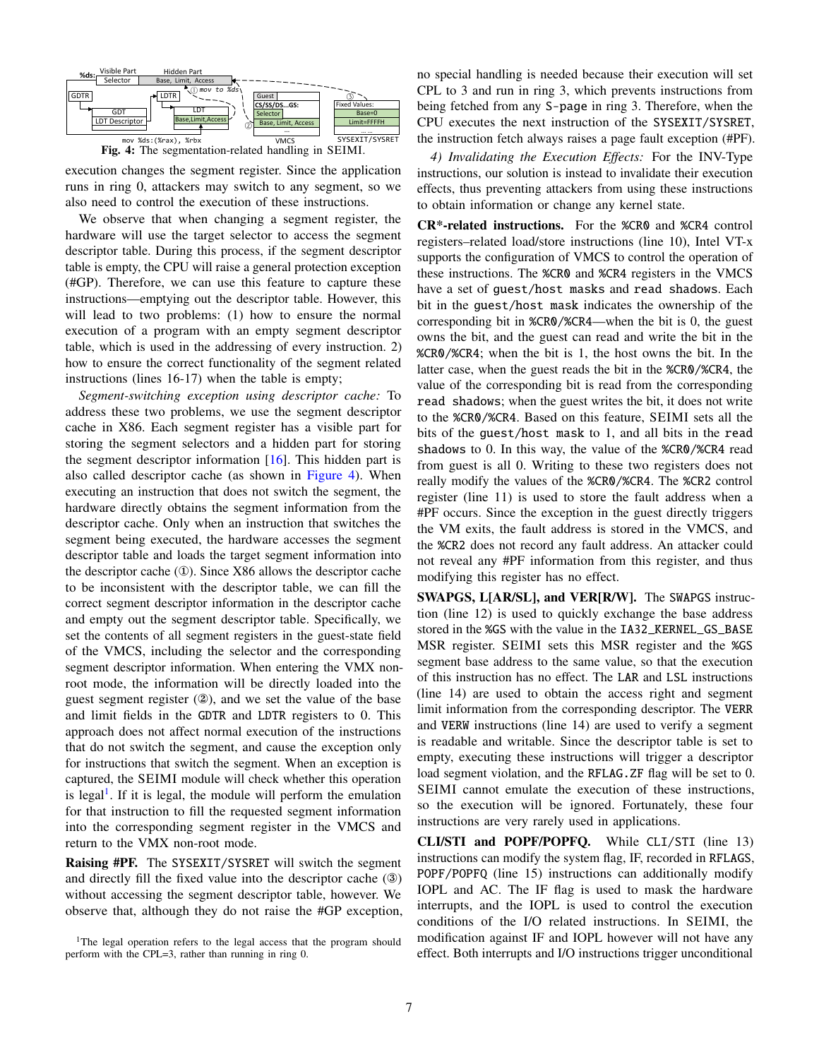<span id="page-6-1"></span>



execution changes the segment register. Since the application runs in ring 0, attackers may switch to any segment, so we also need to control the execution of these instructions.

We observe that when changing a segment register, the hardware will use the target selector to access the segment descriptor table. During this process, if the segment descriptor table is empty, the CPU will raise a general protection exception (#GP). Therefore, we can use this feature to capture these instructions—emptying out the descriptor table. However, this will lead to two problems: (1) how to ensure the normal execution of a program with an empty segment descriptor table, which is used in the addressing of every instruction. 2) how to ensure the correct functionality of the segment related instructions (lines 16-17) when the table is empty;

*Segment-switching exception using descriptor cache:* To address these two problems, we use the segment descriptor cache in X86. Each segment register has a visible part for storing the segment selectors and a hidden part for storing the segment descriptor information  $[16]$ . This hidden part is also called descriptor cache (as shown in [Figure 4\)](#page-6-1). When executing an instruction that does not switch the segment, the hardware directly obtains the segment information from the descriptor cache. Only when an instruction that switches the segment being executed, the hardware accesses the segment descriptor table and loads the target segment information into the descriptor cache (①). Since X86 allows the descriptor cache to be inconsistent with the descriptor table, we can fill the correct segment descriptor information in the descriptor cache and empty out the segment descriptor table. Specifically, we set the contents of all segment registers in the guest-state field of the VMCS, including the selector and the corresponding segment descriptor information. When entering the VMX nonroot mode, the information will be directly loaded into the guest segment register (②), and we set the value of the base and limit fields in the GDTR and LDTR registers to 0. This approach does not affect normal execution of the instructions that do not switch the segment, and cause the exception only for instructions that switch the segment. When an exception is captured, the SEIMI module will check whether this operation is legal<sup>[1](#page-6-2)</sup>. If it is legal, the module will perform the emulation for that instruction to fill the requested segment information into the corresponding segment register in the VMCS and return to the VMX non-root mode.

Raising #PF. The SYSEXIT/SYSRET will switch the segment and directly fill the fixed value into the descriptor cache (③) without accessing the segment descriptor table, however. We observe that, although they do not raise the #GP exception,

<span id="page-6-2"></span><sup>1</sup>The legal operation refers to the legal access that the program should perform with the CPL=3, rather than running in ring 0.

no special handling is needed because their execution will set CPL to 3 and run in ring 3, which prevents instructions from being fetched from any S-page in ring 3. Therefore, when the CPU executes the next instruction of the SYSEXIT/SYSRET, the instruction fetch always raises a page fault exception (#PF).

<span id="page-6-0"></span>*4) Invalidating the Execution Effects:* For the INV-Type instructions, our solution is instead to invalidate their execution effects, thus preventing attackers from using these instructions to obtain information or change any kernel state.

CR\*-related instructions. For the %CR0 and %CR4 control registers–related load/store instructions (line 10), Intel VT-x supports the configuration of VMCS to control the operation of these instructions. The %CR0 and %CR4 registers in the VMCS have a set of guest/host masks and read shadows. Each bit in the guest/host mask indicates the ownership of the corresponding bit in %CR0/%CR4—when the bit is 0, the guest owns the bit, and the guest can read and write the bit in the %CR0/%CR4; when the bit is 1, the host owns the bit. In the latter case, when the guest reads the bit in the %CR0/%CR4, the value of the corresponding bit is read from the corresponding read shadows; when the guest writes the bit, it does not write to the %CR0/%CR4. Based on this feature, SEIMI sets all the bits of the guest/host mask to 1, and all bits in the read shadows to 0. In this way, the value of the %CR0/%CR4 read from guest is all 0. Writing to these two registers does not really modify the values of the %CR0/%CR4. The %CR2 control register (line 11) is used to store the fault address when a #PF occurs. Since the exception in the guest directly triggers the VM exits, the fault address is stored in the VMCS, and the %CR2 does not record any fault address. An attacker could not reveal any #PF information from this register, and thus modifying this register has no effect.

SWAPGS, L[AR/SL], and VER[R/W]. The SWAPGS instruction (line 12) is used to quickly exchange the base address stored in the %GS with the value in the IA32\_KERNEL\_GS\_BASE MSR register. SEIMI sets this MSR register and the %GS segment base address to the same value, so that the execution of this instruction has no effect. The LAR and LSL instructions (line 14) are used to obtain the access right and segment limit information from the corresponding descriptor. The VERR and VERW instructions (line 14) are used to verify a segment is readable and writable. Since the descriptor table is set to empty, executing these instructions will trigger a descriptor load segment violation, and the RFLAG.ZF flag will be set to 0. SEIMI cannot emulate the execution of these instructions, so the execution will be ignored. Fortunately, these four instructions are very rarely used in applications.

CLI/STI and POPF/POPFQ. While CLI/STI (line 13) instructions can modify the system flag, IF, recorded in RFLAGS, POPF/POPFQ (line 15) instructions can additionally modify IOPL and AC. The IF flag is used to mask the hardware interrupts, and the IOPL is used to control the execution conditions of the I/O related instructions. In SEIMI, the modification against IF and IOPL however will not have any effect. Both interrupts and I/O instructions trigger unconditional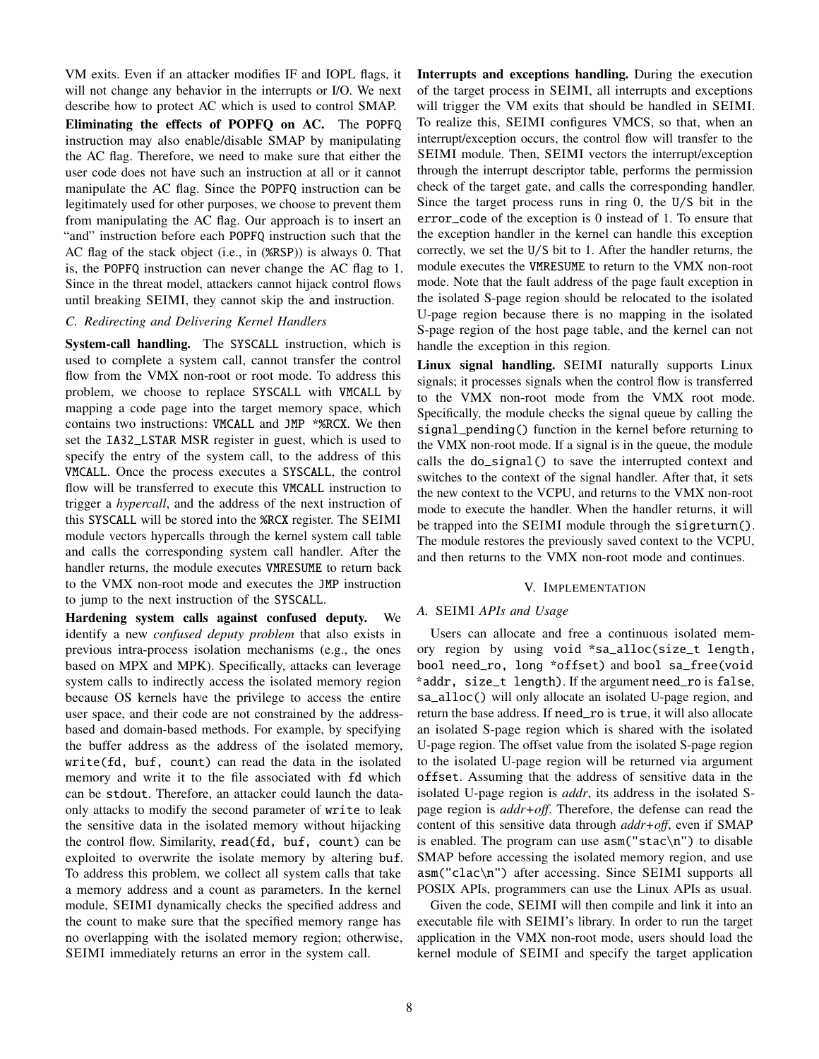VM exits. Even if an attacker modifies IF and IOPL flags, it will not change any behavior in the interrupts or I/O. We next describe how to protect AC which is used to control SMAP. Eliminating the effects of POPFQ on AC. The POPFQ instruction may also enable/disable SMAP by manipulating the AC flag. Therefore, we need to make sure that either the user code does not have such an instruction at all or it cannot manipulate the AC flag. Since the POPFQ instruction can be legitimately used for other purposes, we choose to prevent them from manipulating the AC flag. Our approach is to insert an "and" instruction before each POPFQ instruction such that the AC flag of the stack object (i.e., in (%RSP)) is always 0. That is, the POPFQ instruction can never change the AC flag to 1. Since in the threat model, attackers cannot hijack control flows until breaking SEIMI, they cannot skip the and instruction.

## <span id="page-7-0"></span>*C. Redirecting and Delivering Kernel Handlers*

System-call handling. The SYSCALL instruction, which is used to complete a system call, cannot transfer the control flow from the VMX non-root or root mode. To address this problem, we choose to replace SYSCALL with VMCALL by mapping a code page into the target memory space, which contains two instructions: VMCALL and JMP \*%RCX. We then set the IA32\_LSTAR MSR register in guest, which is used to specify the entry of the system call, to the address of this VMCALL. Once the process executes a SYSCALL, the control flow will be transferred to execute this VMCALL instruction to trigger a *hypercall*, and the address of the next instruction of this SYSCALL will be stored into the %RCX register. The SEIMI module vectors hypercalls through the kernel system call table and calls the corresponding system call handler. After the handler returns, the module executes VMRESUME to return back to the VMX non-root mode and executes the JMP instruction to jump to the next instruction of the SYSCALL.

Hardening system calls against confused deputy. We identify a new *confused deputy problem* that also exists in previous intra-process isolation mechanisms (e.g., the ones based on MPX and MPK). Specifically, attacks can leverage system calls to indirectly access the isolated memory region because OS kernels have the privilege to access the entire user space, and their code are not constrained by the addressbased and domain-based methods. For example, by specifying the buffer address as the address of the isolated memory, write(fd, buf, count) can read the data in the isolated memory and write it to the file associated with fd which can be stdout. Therefore, an attacker could launch the dataonly attacks to modify the second parameter of write to leak the sensitive data in the isolated memory without hijacking the control flow. Similarity, read(fd, buf, count) can be exploited to overwrite the isolate memory by altering buf. To address this problem, we collect all system calls that take a memory address and a count as parameters. In the kernel module, SEIMI dynamically checks the specified address and the count to make sure that the specified memory range has no overlapping with the isolated memory region; otherwise, SEIMI immediately returns an error in the system call.

Interrupts and exceptions handling. During the execution of the target process in SEIMI, all interrupts and exceptions will trigger the VM exits that should be handled in SEIMI. To realize this, SEIMI configures VMCS, so that, when an interrupt/exception occurs, the control flow will transfer to the SEIMI module. Then, SEIMI vectors the interrupt/exception through the interrupt descriptor table, performs the permission check of the target gate, and calls the corresponding handler. Since the target process runs in ring 0, the U/S bit in the error\_code of the exception is 0 instead of 1. To ensure that the exception handler in the kernel can handle this exception correctly, we set the U/S bit to 1. After the handler returns, the module executes the VMRESUME to return to the VMX non-root mode. Note that the fault address of the page fault exception in the isolated S-page region should be relocated to the isolated U-page region because there is no mapping in the isolated S-page region of the host page table, and the kernel can not handle the exception in this region.

Linux signal handling. SEIMI naturally supports Linux signals; it processes signals when the control flow is transferred to the VMX non-root mode from the VMX root mode. Specifically, the module checks the signal queue by calling the signal\_pending() function in the kernel before returning to the VMX non-root mode. If a signal is in the queue, the module calls the do\_signal() to save the interrupted context and switches to the context of the signal handler. After that, it sets the new context to the VCPU, and returns to the VMX non-root mode to execute the handler. When the handler returns, it will be trapped into the SEIMI module through the sigreturn(). The module restores the previously saved context to the VCPU, and then returns to the VMX non-root mode and continues.

## V. IMPLEMENTATION

## <span id="page-7-1"></span>*A.* SEIMI *APIs and Usage*

Users can allocate and free a continuous isolated memory region by using void \*sa\_alloc(size\_t length, bool need\_ro, long \*offset) and bool sa\_free(void \*addr, size\_t length). If the argument need\_ro is false, sa\_alloc() will only allocate an isolated U-page region, and return the base address. If need\_ro is true, it will also allocate an isolated S-page region which is shared with the isolated U-page region. The offset value from the isolated S-page region to the isolated U-page region will be returned via argument offset. Assuming that the address of sensitive data in the isolated U-page region is *addr*, its address in the isolated Spage region is *addr+off*. Therefore, the defense can read the content of this sensitive data through *addr+off*, even if SMAP is enabled. The program can use asm("stac\n") to disable SMAP before accessing the isolated memory region, and use asm("clac\n") after accessing. Since SEIMI supports all POSIX APIs, programmers can use the Linux APIs as usual.

Given the code, SEIMI will then compile and link it into an executable file with SEIMI's library. In order to run the target application in the VMX non-root mode, users should load the kernel module of SEIMI and specify the target application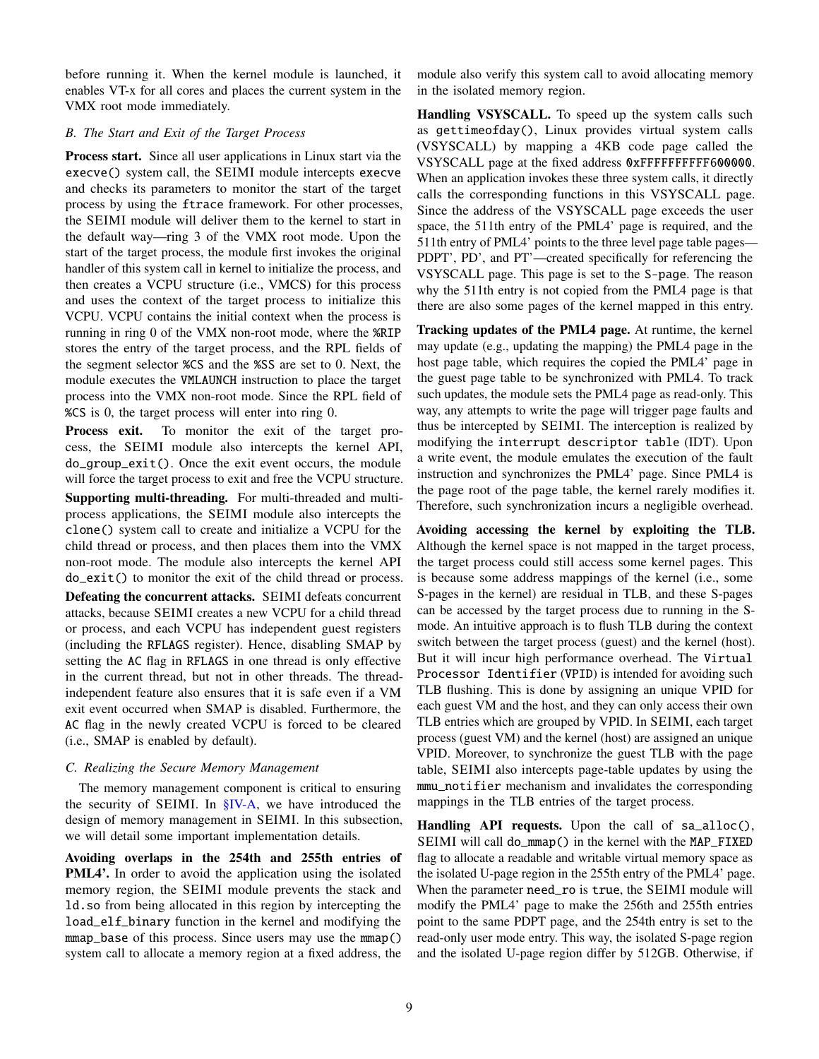before running it. When the kernel module is launched, it enables VT-x for all cores and places the current system in the VMX root mode immediately.

# <span id="page-8-0"></span>*B. The Start and Exit of the Target Process*

Process start. Since all user applications in Linux start via the execve() system call, the SEIMI module intercepts execve and checks its parameters to monitor the start of the target process by using the ftrace framework. For other processes, the SEIMI module will deliver them to the kernel to start in the default way—ring 3 of the VMX root mode. Upon the start of the target process, the module first invokes the original handler of this system call in kernel to initialize the process, and then creates a VCPU structure (i.e., VMCS) for this process and uses the context of the target process to initialize this VCPU. VCPU contains the initial context when the process is running in ring 0 of the VMX non-root mode, where the %RIP stores the entry of the target process, and the RPL fields of the segment selector %CS and the %SS are set to 0. Next, the module executes the VMLAUNCH instruction to place the target process into the VMX non-root mode. Since the RPL field of %CS is 0, the target process will enter into ring 0.

Process exit. To monitor the exit of the target process, the SEIMI module also intercepts the kernel API, do\_group\_exit(). Once the exit event occurs, the module will force the target process to exit and free the VCPU structure. Supporting multi-threading. For multi-threaded and multiprocess applications, the SEIMI module also intercepts the clone() system call to create and initialize a VCPU for the child thread or process, and then places them into the VMX non-root mode. The module also intercepts the kernel API do\_exit() to monitor the exit of the child thread or process. Defeating the concurrent attacks. SEIMI defeats concurrent attacks, because SEIMI creates a new VCPU for a child thread or process, and each VCPU has independent guest registers (including the RFLAGS register). Hence, disabling SMAP by setting the AC flag in RFLAGS in one thread is only effective in the current thread, but not in other threads. The threadindependent feature also ensures that it is safe even if a VM exit event occurred when SMAP is disabled. Furthermore, the AC flag in the newly created VCPU is forced to be cleared (i.e., SMAP is enabled by default).

# *C. Realizing the Secure Memory Management*

The memory management component is critical to ensuring the security of SEIMI. In [§IV-A,](#page-4-1) we have introduced the design of memory management in SEIMI. In this subsection, we will detail some important implementation details.

Avoiding overlaps in the 254th and 255th entries of PML4'. In order to avoid the application using the isolated memory region, the SEIMI module prevents the stack and ld.so from being allocated in this region by intercepting the load\_elf\_binary function in the kernel and modifying the mmap\_base of this process. Since users may use the mmap() system call to allocate a memory region at a fixed address, the

module also verify this system call to avoid allocating memory in the isolated memory region.

Handling VSYSCALL. To speed up the system calls such as gettimeofday(), Linux provides virtual system calls (VSYSCALL) by mapping a 4KB code page called the VSYSCALL page at the fixed address 0xFFFFFFFFFF600000. When an application invokes these three system calls, it directly calls the corresponding functions in this VSYSCALL page. Since the address of the VSYSCALL page exceeds the user space, the 511th entry of the PML4' page is required, and the 511th entry of PML4' points to the three level page table pages— PDPT', PD', and PT'—created specifically for referencing the VSYSCALL page. This page is set to the S-page. The reason why the 511th entry is not copied from the PML4 page is that there are also some pages of the kernel mapped in this entry.

Tracking updates of the PML4 page. At runtime, the kernel may update (e.g., updating the mapping) the PML4 page in the host page table, which requires the copied the PML4' page in the guest page table to be synchronized with PML4. To track such updates, the module sets the PML4 page as read-only. This way, any attempts to write the page will trigger page faults and thus be intercepted by SEIMI. The interception is realized by modifying the interrupt descriptor table (IDT). Upon a write event, the module emulates the execution of the fault instruction and synchronizes the PML4' page. Since PML4 is the page root of the page table, the kernel rarely modifies it. Therefore, such synchronization incurs a negligible overhead.

Avoiding accessing the kernel by exploiting the TLB. Although the kernel space is not mapped in the target process, the target process could still access some kernel pages. This is because some address mappings of the kernel (i.e., some S-pages in the kernel) are residual in TLB, and these S-pages can be accessed by the target process due to running in the Smode. An intuitive approach is to flush TLB during the context switch between the target process (guest) and the kernel (host). But it will incur high performance overhead. The Virtual Processor Identifier (VPID) is intended for avoiding such TLB flushing. This is done by assigning an unique VPID for each guest VM and the host, and they can only access their own TLB entries which are grouped by VPID. In SEIMI, each target process (guest VM) and the kernel (host) are assigned an unique VPID. Moreover, to synchronize the guest TLB with the page table, SEIMI also intercepts page-table updates by using the mmu\_notifier mechanism and invalidates the corresponding mappings in the TLB entries of the target process.

Handling API requests. Upon the call of sa\_alloc(), SEIMI will call do\_mmap() in the kernel with the MAP\_FIXED flag to allocate a readable and writable virtual memory space as the isolated U-page region in the 255th entry of the PML4' page. When the parameter need\_ro is true, the SEIMI module will modify the PML4' page to make the 256th and 255th entries point to the same PDPT page, and the 254th entry is set to the read-only user mode entry. This way, the isolated S-page region and the isolated U-page region differ by 512GB. Otherwise, if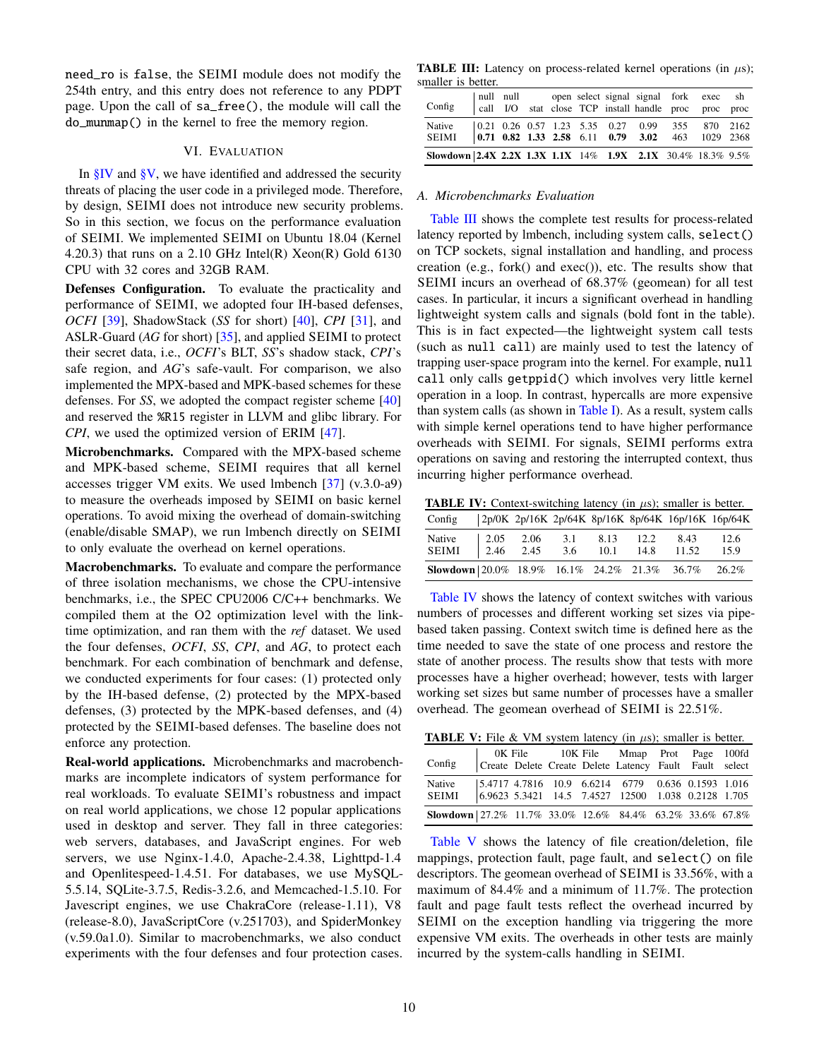need\_ro is false, the SEIMI module does not modify the 254th entry, and this entry does not reference to any PDPT page. Upon the call of sa\_free(), the module will call the do\_munmap() in the kernel to free the memory region.

#### VI. EVALUATION

In  $\S$ IV and  $\S$ V, we have identified and addressed the security threats of placing the user code in a privileged mode. Therefore, by design, SEIMI does not introduce new security problems. So in this section, we focus on the performance evaluation of SEIMI. We implemented SEIMI on Ubuntu 18.04 (Kernel 4.20.3) that runs on a 2.10 GHz Intel(R) Xeon(R) Gold  $6130$ CPU with 32 cores and 32GB RAM.

Defenses Configuration. To evaluate the practicality and performance of SEIMI, we adopted four IH-based defenses, *OCFI* [\[39\]](#page-14-0), ShadowStack (*SS* for short) [\[40\]](#page-14-9), *CPI* [\[31\]](#page-14-1), and ASLR-Guard (*AG* for short) [\[35\]](#page-14-14), and applied SEIMI to protect their secret data, i.e., *OCFI*'s BLT, *SS*'s shadow stack, *CPI*'s safe region, and *AG*'s safe-vault. For comparison, we also implemented the MPX-based and MPK-based schemes for these defenses. For *SS*, we adopted the compact register scheme [\[40\]](#page-14-9) and reserved the %R15 register in LLVM and glibc library. For *CPI*, we used the optimized version of ERIM [\[47\]](#page-14-10).

Microbenchmarks. Compared with the MPX-based scheme and MPK-based scheme, SEIMI requires that all kernel accesses trigger VM exits. We used lmbench [\[37\]](#page-14-20) (v.3.0-a9) to measure the overheads imposed by SEIMI on basic kernel operations. To avoid mixing the overhead of domain-switching (enable/disable SMAP), we run lmbench directly on SEIMI to only evaluate the overhead on kernel operations.

Macrobenchmarks. To evaluate and compare the performance of three isolation mechanisms, we chose the CPU-intensive benchmarks, i.e., the SPEC CPU2006 C/C++ benchmarks. We compiled them at the O2 optimization level with the linktime optimization, and ran them with the *ref* dataset. We used the four defenses, *OCFI*, *SS*, *CPI*, and *AG*, to protect each benchmark. For each combination of benchmark and defense, we conducted experiments for four cases: (1) protected only by the IH-based defense, (2) protected by the MPX-based defenses, (3) protected by the MPK-based defenses, and (4) protected by the SEIMI-based defenses. The baseline does not enforce any protection.

Real-world applications. Microbenchmarks and macrobenchmarks are incomplete indicators of system performance for real workloads. To evaluate SEIMI's robustness and impact on real world applications, we chose 12 popular applications used in desktop and server. They fall in three categories: web servers, databases, and JavaScript engines. For web servers, we use Nginx-1.4.0, Apache-2.4.38, Lighttpd-1.4 and Openlitespeed-1.4.51. For databases, we use MySQL-5.5.14, SQLite-3.7.5, Redis-3.2.6, and Memcached-1.5.10. For Javescript engines, we use ChakraCore (release-1.11), V8 (release-8.0), JavaScriptCore (v.251703), and SpiderMonkey (v.59.0a1.0). Similar to macrobenchmarks, we also conduct experiments with the four defenses and four protection cases.

<span id="page-9-0"></span>TABLE III: Latency on process-related kernel operations (in  $\mu$ s); smaller is better.

| Config                                                           |  |  |  | null null open select signal signal fork exec sh<br>call I/O stat close TCP install handle proc proc proc |  |
|------------------------------------------------------------------|--|--|--|-----------------------------------------------------------------------------------------------------------|--|
| Native<br>SEIMI 0.71 0.82 1.33 2.58 6.11 0.79 3.02 463 1029 2368 |  |  |  | $\vert 0.21 \; 0.26 \; 0.57 \; 1.23 \; 5.35 \; 0.27 \; 0.99 \; 355 \; 870 \; 2162$                        |  |
| Slowdown 2.4X 2.2X 1.3X 1.1X 14% 1.9X 2.1X 30.4% 18.3% 9.5%      |  |  |  |                                                                                                           |  |

#### *A. Microbenchmarks Evaluation*

[Table III](#page-9-0) shows the complete test results for process-related latency reported by lmbench, including system calls, select() on TCP sockets, signal installation and handling, and process creation (e.g., fork() and exec()), etc. The results show that SEIMI incurs an overhead of 68.37% (geomean) for all test cases. In particular, it incurs a significant overhead in handling lightweight system calls and signals (bold font in the table). This is in fact expected—the lightweight system call tests (such as null call) are mainly used to test the latency of trapping user-space program into the kernel. For example, null call only calls getppid() which involves very little kernel operation in a loop. In contrast, hypercalls are more expensive than system calls (as shown in [Table I\)](#page-3-0). As a result, system calls with simple kernel operations tend to have higher performance overheads with SEIMI. For signals, SEIMI performs extra operations on saving and restoring the interrupted context, thus incurring higher performance overhead.

<span id="page-9-1"></span>**TABLE IV:** Context-switching latency (in  $\mu$ s); smaller is better.

| Config                                             |  |     |      |           |       | 2p/0K 2p/16K 2p/64K 8p/16K 8p/64K 16p/16K 16p/64K |
|----------------------------------------------------|--|-----|------|-----------|-------|---------------------------------------------------|
| Native 2.05 2.06<br>SEIMI 2.46 2.45<br>Native      |  | 3.1 |      | 8.13 12.2 | 8.43  | 12.6                                              |
|                                                    |  | 3.6 | 10.1 | 14.8      | 11.52 | 15.9                                              |
| Slowdown 20.0% 18.9% 16.1% 24.2% 21.3% 36.7% 26.2% |  |     |      |           |       |                                                   |

[Table IV](#page-9-1) shows the latency of context switches with various numbers of processes and different working set sizes via pipebased taken passing. Context switch time is defined here as the time needed to save the state of one process and restore the state of another process. The results show that tests with more processes have a higher overhead; however, tests with larger working set sizes but same number of processes have a smaller overhead. The geomean overhead of SEIMI is 22.51%.

<span id="page-9-2"></span>**TABLE V:** File & VM system latency (in  $\mu$ s); smaller is better.

| OK File 10K File Mmap Prot Page 100fd<br>Config Create Delete Create Delete Latency Fault Fault select |  |  |                                                   |  |  |
|--------------------------------------------------------------------------------------------------------|--|--|---------------------------------------------------|--|--|
| Native<br>SEIMI 6.9623 5.3421 14.5 7.4527 12500 1.038 0.2128 1.705                                     |  |  | 5.4717 4.7816 10.9 6.6214 6779 0.636 0.1593 1.016 |  |  |
| Slowdown 27.2% 11.7% 33.0% 12.6% 84.4% 63.2% 33.6% 67.8%                                               |  |  |                                                   |  |  |

[Table V](#page-9-2) shows the latency of file creation/deletion, file mappings, protection fault, page fault, and select() on file descriptors. The geomean overhead of SEIMI is 33.56%, with a maximum of 84.4% and a minimum of 11.7%. The protection fault and page fault tests reflect the overhead incurred by SEIMI on the exception handling via triggering the more expensive VM exits. The overheads in other tests are mainly incurred by the system-calls handling in SEIMI.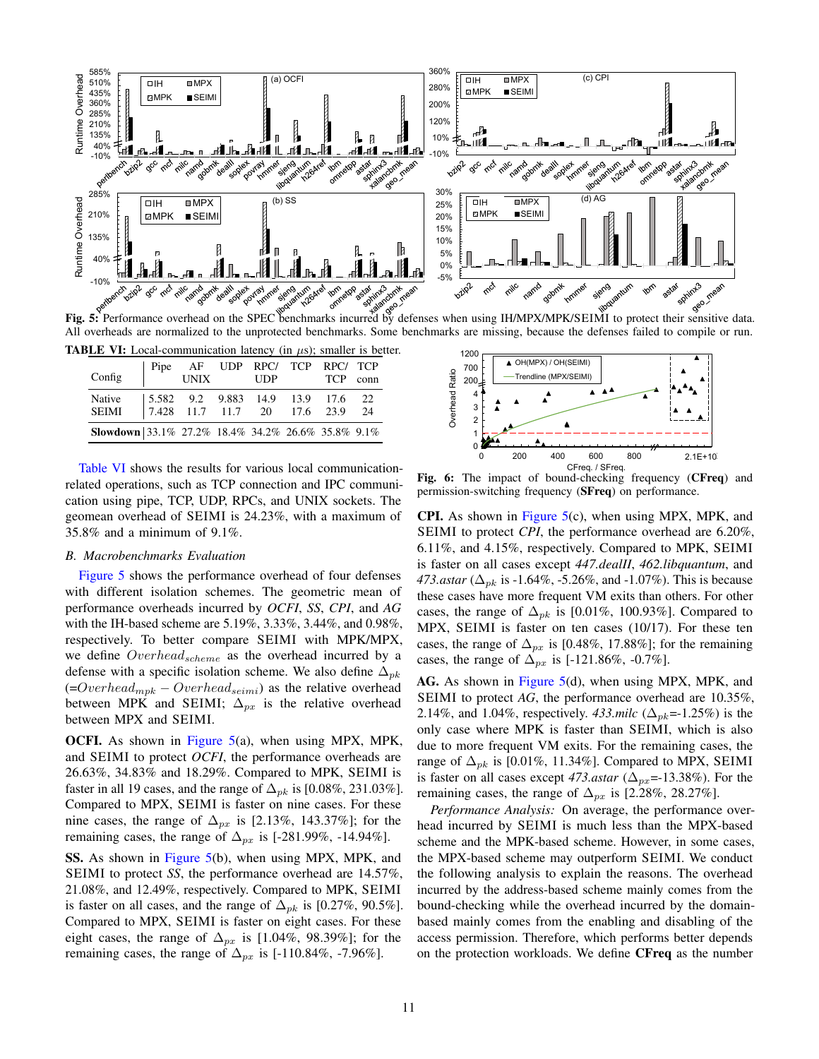<span id="page-10-1"></span>

All overheads are normalized to the unprotected benchmarks. Some benchmarks are missing, because the defenses failed to compile or run.

<span id="page-10-0"></span>

| <b>TABLE VI:</b> Local-communication latency (in $\mu$ s); smaller is better.     |                                                    |  |  |  |  |
|-----------------------------------------------------------------------------------|----------------------------------------------------|--|--|--|--|
| Config                                                                            | Pipe AF UDP RPC/ TCP RPC/ TCP<br>UNIX UDP TCP conn |  |  |  |  |
| Native 5.582 9.2 9.883 14.9 13.9 17.6 22<br>SEIMI 7.428 11.7 11.7 20 17.6 23.9 24 |                                                    |  |  |  |  |
|                                                                                   |                                                    |  |  |  |  |
| Slowdown 33.1% 27.2% 18.4% 34.2% 26.6% 35.8% 9.1%                                 |                                                    |  |  |  |  |

[Table VI](#page-10-0) shows the results for various local communicationrelated operations, such as TCP connection and IPC communication using pipe, TCP, UDP, RPCs, and UNIX sockets. The geomean overhead of SEIMI is 24.23%, with a maximum of 35.8% and a minimum of 9.1%.

#### *B. Macrobenchmarks Evaluation*

[Figure 5](#page-10-1) shows the performance overhead of four defenses with different isolation schemes. The geometric mean of performance overheads incurred by *OCFI*, *SS*, *CPI*, and *AG* with the IH-based scheme are 5.19%, 3.33%, 3.44%, and 0.98%, respectively. To better compare SEIMI with MPK/MPX, we define  $Overhead_{scheme}$  as the overhead incurred by a defense with a specific isolation scheme. We also define  $\Delta_{pk}$  $(=Overhead_{mpk} - Overhead_{seimi})$  as the relative overhead between MPK and SEIMI;  $\Delta_{px}$  is the relative overhead between MPX and SEIMI.

OCFI. As shown in [Figure 5\(](#page-10-1)a), when using MPX, MPK, and SEIMI to protect *OCFI*, the performance overheads are 26.63%, 34.83% and 18.29%. Compared to MPK, SEIMI is faster in all 19 cases, and the range of  $\Delta_{pk}$  is [0.08%, 231.03%]. Compared to MPX, SEIMI is faster on nine cases. For these nine cases, the range of  $\Delta_{px}$  is [2.13%, 143.37%]; for the remaining cases, the range of  $\Delta_{px}$  is [-281.99%, -14.94%].

SS. As shown in [Figure 5\(](#page-10-1)b), when using MPX, MPK, and SEIMI to protect *SS*, the performance overhead are 14.57%, 21.08%, and 12.49%, respectively. Compared to MPK, SEIMI is faster on all cases, and the range of  $\Delta_{nk}$  is [0.27%, 90.5%]. Compared to MPX, SEIMI is faster on eight cases. For these eight cases, the range of  $\Delta_{px}$  is [1.04%, 98.39%]; for the remaining cases, the range of  $\Delta_{px}$  is [-110.84%, -7.96%].

<span id="page-10-2"></span>

Fig. 6: The impact of bound-checking frequency (CFreq) and permission-switching frequency (SFreq) on performance.

CPI. As shown in [Figure 5\(](#page-10-1)c), when using MPX, MPK, and SEIMI to protect *CPI*, the performance overhead are 6.20%, 6.11%, and 4.15%, respectively. Compared to MPK, SEIMI is faster on all cases except *447.dealII*, *462.libquantum*, and *473.astar* ( $\Delta_{pk}$  is -1.64%, -5.26%, and -1.07%). This is because these cases have more frequent VM exits than others. For other cases, the range of  $\Delta_{pk}$  is [0.01%, 100.93%]. Compared to MPX, SEIMI is faster on ten cases (10/17). For these ten cases, the range of  $\Delta_{px}$  is [0.48%, 17.88%]; for the remaining cases, the range of  $\Delta_{px}$  is [-121.86%, -0.7%].

AG. As shown in [Figure 5\(](#page-10-1)d), when using MPX, MPK, and SEIMI to protect *AG*, the performance overhead are 10.35%, 2.14%, and 1.04%, respectively. *433.milc* ( $\Delta_{pk}$ =-1.25%) is the only case where MPK is faster than SEIMI, which is also due to more frequent VM exits. For the remaining cases, the range of  $\Delta_{pk}$  is [0.01%, 11.34%]. Compared to MPX, SEIMI is faster on all cases except 473.*astar* ( $\Delta_{px}$ =-13.38%). For the remaining cases, the range of  $\Delta_{px}$  is [2.28%, 28.27%].

*Performance Analysis:* On average, the performance overhead incurred by SEIMI is much less than the MPX-based scheme and the MPK-based scheme. However, in some cases, the MPX-based scheme may outperform SEIMI. We conduct the following analysis to explain the reasons. The overhead incurred by the address-based scheme mainly comes from the bound-checking while the overhead incurred by the domainbased mainly comes from the enabling and disabling of the access permission. Therefore, which performs better depends on the protection workloads. We define CFreq as the number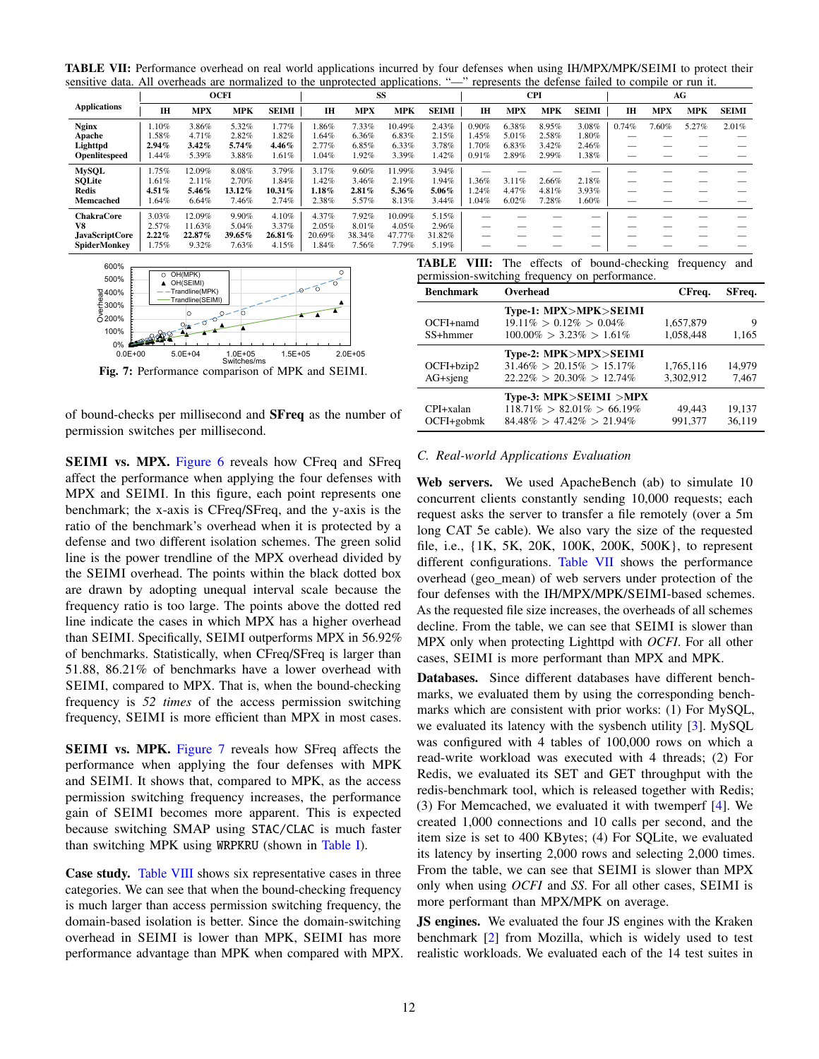<span id="page-11-2"></span>TABLE VII: Performance overhead on real world applications incurred by four defenses when using IH/MPX/MPK/SEIMI to protect their sensitive data. All overheads are normalized to the unprotected applications. "—" represents the defense failed to compile or run it.

|                     |           |          | <b>OCFI</b> |              |           | SS         |        |              |       |       | <b>CPI</b> |                          |                          |            | AG    |              |
|---------------------|-----------|----------|-------------|--------------|-----------|------------|--------|--------------|-------|-------|------------|--------------------------|--------------------------|------------|-------|--------------|
| <b>Applications</b> | <b>IH</b> | MPX      | <b>MPK</b>  | <b>SEIMI</b> | <b>IH</b> | <b>MPX</b> | MPK    | <b>SEIMI</b> | IH    | MPX   | MPK        | <b>SEIMI</b>             | IH                       | <b>MPX</b> | MPK   | <b>SEIMI</b> |
| <b>Nginx</b>        | .10%      | 3.86%    | 5.32%       | .77%         | .86%      | 7.33%      | 10.49% | 2.43%        | 0.90% | 6.38% | 8.95%      | 3.08%                    | 0.74%                    | 1.60%      | 5.27% | 2.01%        |
| Apache              | .58%      | 4.71%    | 2.82%       | 1.82%        | .64%      | 6.36%      | 6.83%  | 2.15%        | .45%  | 5.01% | 2.58%      | 1.80%                    |                          |            |       |              |
| Lighttpd            | 2.94%     | $3.42\%$ | 5.74%       | 4.46%        | 2.77%     | 6.85%      | 6.33%  | 3.78%        | .70%  | 6.83% | 3.42%      | 2.46%                    |                          |            |       |              |
| Openlitespeed       | .44%      | 5.39%    | 3.88%       | 1.61%        | 1.04%     | .92%       | 3.39%  | 1.42%        | 0.91% | 2.89% | 2.99%      | 1.38%                    |                          |            |       |              |
| <b>MySQL</b>        | .75%      | 12.09%   | 8.08%       | 3.79%        | 3.17%     | 9.60%      | 11.99% | 3.94%        |       |       |            |                          |                          |            |       |              |
| <b>SOLite</b>       | .61%      | 2.11%    | 2.70%       | .84%         | .42%      | 3.46%      | 2.19%  | 1.94%        | .36%  | 3.11% | 2.66%      | 2.18%                    | _                        |            |       |              |
| <b>Redis</b>        | 4.51%     | 5.46%    | 13.12%      | $10.31\%$    | $.18\%$   | 2.81%      | 5.36%  | 5.06%        | .24%  | 4.47% | 4.81%      | 3.93%                    | $\overline{\phantom{a}}$ |            |       |              |
| Memcached           | .64%      | 6.64%    | 7.46%       | 2.74%        | 2.38%     | 5.57%      | 8.13%  | 3.44%        | 1.04% | 6.02% | 7.28%      | 1.60%                    |                          |            |       |              |
| <b>ChakraCore</b>   | 3.03%     | 12.09%   | 9.90%       | 4.10%        | 4.37%     | 7.92%      | 10.09% | 5.15%        |       |       |            | --                       |                          |            |       |              |
| V8                  | 2.57%     | 11.63%   | 5.04%       | 3.37%        | 2.05%     | 8.01%      | 4.05%  | 2.96%        | _     |       |            | $\overline{\phantom{a}}$ |                          |            |       |              |
| JavaScriptCore      | 2.22%     | 22.87%   | 39.65%      | 26.81%       | 20.69%    | 38.34%     | 47.77% | 31.82%       |       |       |            | _                        |                          |            |       |              |
| <b>SpiderMonkey</b> | 1.75%     | 9.32%    | 7.63%       | 4.15%        | 1.84%     | 7.56%      | 7.79%  | 5.19%        |       |       |            | _                        |                          |            |       |              |
|                     |           |          |             |              |           |            |        |              |       |       |            |                          |                          |            |       |              |

<span id="page-11-0"></span>

Switches/ms Fig. 7: Performance comparison of MPK and SEIMI.

of bound-checks per millisecond and SFreq as the number of permission switches per millisecond.

**SEIMI vs. MPX.** [Figure 6](#page-10-2) reveals how CFreq and SFreq affect the performance when applying the four defenses with MPX and SEIMI. In this figure, each point represents one benchmark; the x-axis is CFreq/SFreq, and the y-axis is the ratio of the benchmark's overhead when it is protected by a defense and two different isolation schemes. The green solid line is the power trendline of the MPX overhead divided by the SEIMI overhead. The points within the black dotted box are drawn by adopting unequal interval scale because the frequency ratio is too large. The points above the dotted red line indicate the cases in which MPX has a higher overhead than SEIMI. Specifically, SEIMI outperforms MPX in 56.92% of benchmarks. Statistically, when CFreq/SFreq is larger than 51.88, 86.21% of benchmarks have a lower overhead with SEIMI, compared to MPX. That is, when the bound-checking frequency is *52 times* of the access permission switching frequency, SEIMI is more efficient than MPX in most cases.

SEIMI vs. MPK. [Figure 7](#page-11-0) reveals how SFreq affects the performance when applying the four defenses with MPK and SEIMI. It shows that, compared to MPK, as the access permission switching frequency increases, the performance gain of SEIMI becomes more apparent. This is expected because switching SMAP using STAC/CLAC is much faster than switching MPK using WRPKRU (shown in [Table I\)](#page-3-0).

Case study. [Table VIII](#page-11-1) shows six representative cases in three categories. We can see that when the bound-checking frequency is much larger than access permission switching frequency, the domain-based isolation is better. Since the domain-switching overhead in SEIMI is lower than MPK, SEIMI has more performance advantage than MPK when compared with MPX.

<span id="page-11-1"></span>

|  |  | TABLE VIII: The effects of bound-checking frequency and |  |
|--|--|---------------------------------------------------------|--|
|  |  | permission-switching frequency on performance.          |  |

| <b>Benchmark</b>               | Overhead                                                                                       | CFreq.                 | SFreq.           |
|--------------------------------|------------------------------------------------------------------------------------------------|------------------------|------------------|
| $OCFI +$ namd<br>SS+hmmer      | Type-1: MPX>MPK>SEIMI<br>$19.11\% > 0.12\% > 0.04\%$<br>$100.00\% > 3.23\% > 1.61\%$           | 1,657,879<br>1,058,448 | 9<br>1,165       |
| OCFI+bzip2<br>$AG + signg$     | Type-2: MPK>MPX>SEIMI<br>$31.46\% > 20.15\% > 15.17\%$<br>$22.22\% > 20.30\% > 12.74\%$        | 1,765,116<br>3.302.912 | 14,979<br>7,467  |
| $CPI + x$ alan<br>$OCFI+gobmk$ | Type-3: $MPK > SEIMI > MPX$<br>$118.71\% > 82.01\% > 66.19\%$<br>$84.48\% > 47.42\% > 21.94\%$ | 49,443<br>991.377      | 19,137<br>36.119 |

## *C. Real-world Applications Evaluation*

Web servers. We used ApacheBench (ab) to simulate 10 concurrent clients constantly sending 10,000 requests; each request asks the server to transfer a file remotely (over a 5m long CAT 5e cable). We also vary the size of the requested file, i.e., {1K, 5K, 20K, 100K, 200K, 500K}, to represent different configurations. [Table VII](#page-11-2) shows the performance overhead (geo\_mean) of web servers under protection of the four defenses with the IH/MPX/MPK/SEIMI-based schemes. As the requested file size increases, the overheads of all schemes decline. From the table, we can see that SEIMI is slower than MPX only when protecting Lighttpd with *OCFI*. For all other cases, SEIMI is more performant than MPX and MPK.

Databases. Since different databases have different benchmarks, we evaluated them by using the corresponding benchmarks which are consistent with prior works: (1) For MySQL, we evaluated its latency with the sysbench utility [\[3\]](#page-13-5). MySQL was configured with 4 tables of 100,000 rows on which a read-write workload was executed with 4 threads; (2) For Redis, we evaluated its SET and GET throughput with the redis-benchmark tool, which is released together with Redis; (3) For Memcached, we evaluated it with twemperf [\[4\]](#page-13-6). We created 1,000 connections and 10 calls per second, and the item size is set to 400 KBytes; (4) For SQLite, we evaluated its latency by inserting 2,000 rows and selecting 2,000 times. From the table, we can see that SEIMI is slower than MPX only when using *OCFI* and *SS*. For all other cases, SEIMI is more performant than MPX/MPK on average.

JS engines. We evaluated the four JS engines with the Kraken benchmark [\[2\]](#page-13-7) from Mozilla, which is widely used to test realistic workloads. We evaluated each of the 14 test suites in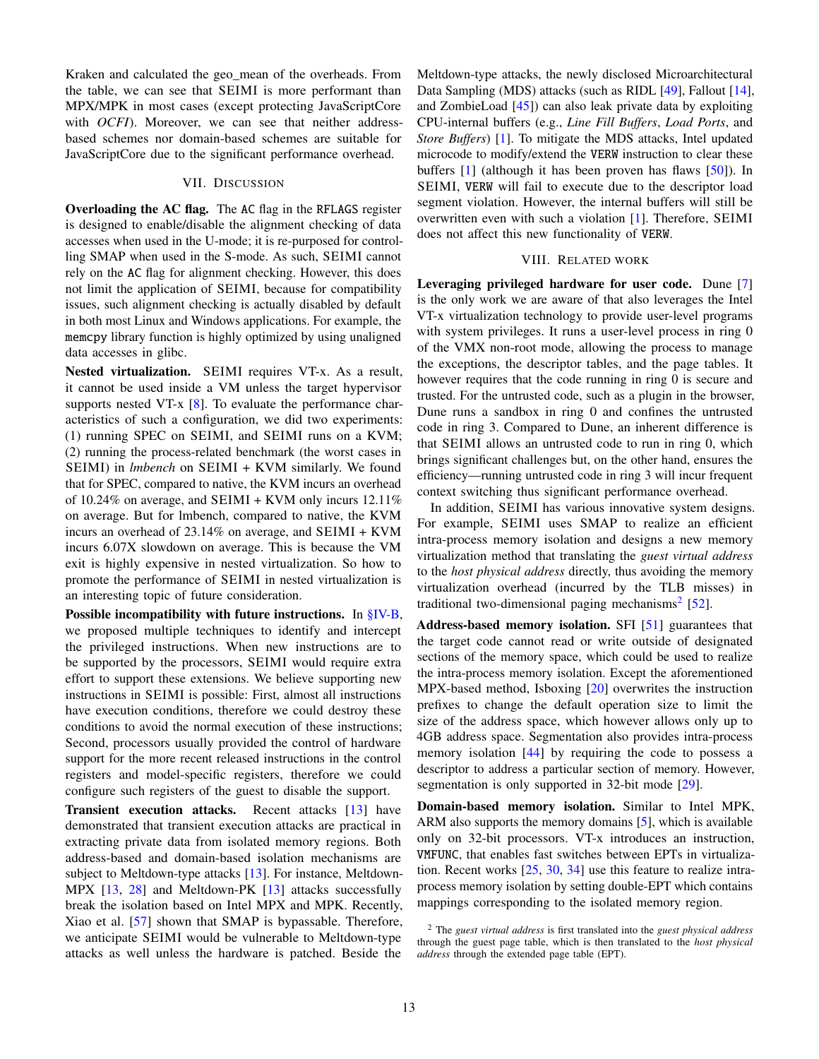Kraken and calculated the geo\_mean of the overheads. From the table, we can see that SEIMI is more performant than MPX/MPK in most cases (except protecting JavaScriptCore with *OCFI*). Moreover, we can see that neither addressbased schemes nor domain-based schemes are suitable for JavaScriptCore due to the significant performance overhead.

## VII. DISCUSSION

Overloading the AC flag. The AC flag in the RFLAGS register is designed to enable/disable the alignment checking of data accesses when used in the U-mode; it is re-purposed for controlling SMAP when used in the S-mode. As such, SEIMI cannot rely on the AC flag for alignment checking. However, this does not limit the application of SEIMI, because for compatibility issues, such alignment checking is actually disabled by default in both most Linux and Windows applications. For example, the memcpy library function is highly optimized by using unaligned data accesses in glibc.

Nested virtualization. SEIMI requires VT-x. As a result, it cannot be used inside a VM unless the target hypervisor supports nested VT-x [\[8\]](#page-13-8). To evaluate the performance characteristics of such a configuration, we did two experiments: (1) running SPEC on SEIMI, and SEIMI runs on a KVM; (2) running the process-related benchmark (the worst cases in SEIMI) in *lmbench* on SEIMI + KVM similarly. We found that for SPEC, compared to native, the KVM incurs an overhead of 10.24% on average, and SEIMI + KVM only incurs  $12.11\%$ on average. But for lmbench, compared to native, the KVM incurs an overhead of 23.14% on average, and SEIMI + KVM incurs 6.07X slowdown on average. This is because the VM exit is highly expensive in nested virtualization. So how to promote the performance of SEIMI in nested virtualization is an interesting topic of future consideration.

Possible incompatibility with future instructions. In [§IV-B,](#page-5-0) we proposed multiple techniques to identify and intercept the privileged instructions. When new instructions are to be supported by the processors, SEIMI would require extra effort to support these extensions. We believe supporting new instructions in SEIMI is possible: First, almost all instructions have execution conditions, therefore we could destroy these conditions to avoid the normal execution of these instructions; Second, processors usually provided the control of hardware support for the more recent released instructions in the control registers and model-specific registers, therefore we could configure such registers of the guest to disable the support.

Transient execution attacks. Recent attacks [\[13\]](#page-13-9) have demonstrated that transient execution attacks are practical in extracting private data from isolated memory regions. Both address-based and domain-based isolation mechanisms are subject to Meltdown-type attacks [\[13\]](#page-13-9). For instance, Meltdown-MPX [\[13,](#page-13-9) [28\]](#page-14-21) and Meltdown-PK [\[13\]](#page-13-9) attacks successfully break the isolation based on Intel MPX and MPK. Recently, Xiao et al. [\[57\]](#page-15-3) shown that SMAP is bypassable. Therefore, we anticipate SEIMI would be vulnerable to Meltdown-type attacks as well unless the hardware is patched. Beside the

Meltdown-type attacks, the newly disclosed Microarchitectural Data Sampling (MDS) attacks (such as RIDL [\[49\]](#page-14-22), Fallout [\[14\]](#page-13-10), and ZombieLoad [\[45\]](#page-14-23)) can also leak private data by exploiting CPU-internal buffers (e.g., *Line Fill Buffers*, *Load Ports*, and *Store Buffers*) [\[1\]](#page-13-11). To mitigate the MDS attacks, Intel updated microcode to modify/extend the VERW instruction to clear these buffers [\[1\]](#page-13-11) (although it has been proven has flaws [\[50\]](#page-14-24)). In SEIMI, VERW will fail to execute due to the descriptor load segment violation. However, the internal buffers will still be overwritten even with such a violation [\[1\]](#page-13-11). Therefore, SEIMI does not affect this new functionality of VERW.

#### VIII. RELATED WORK

Leveraging privileged hardware for user code. Dune [\[7\]](#page-13-1) is the only work we are aware of that also leverages the Intel VT-x virtualization technology to provide user-level programs with system privileges. It runs a user-level process in ring 0 of the VMX non-root mode, allowing the process to manage the exceptions, the descriptor tables, and the page tables. It however requires that the code running in ring 0 is secure and trusted. For the untrusted code, such as a plugin in the browser, Dune runs a sandbox in ring 0 and confines the untrusted code in ring 3. Compared to Dune, an inherent difference is that SEIMI allows an untrusted code to run in ring 0, which brings significant challenges but, on the other hand, ensures the efficiency—running untrusted code in ring 3 will incur frequent context switching thus significant performance overhead.

In addition, SEIMI has various innovative system designs. For example, SEIMI uses SMAP to realize an efficient intra-process memory isolation and designs a new memory virtualization method that translating the *guest virtual address* to the *host physical address* directly, thus avoiding the memory virtualization overhead (incurred by the TLB misses) in traditional two-dimensional paging mechanisms<sup>[2](#page-12-0)</sup> [\[52\]](#page-14-25).

Address-based memory isolation. SFI [\[51\]](#page-14-26) guarantees that the target code cannot read or write outside of designated sections of the memory space, which could be used to realize the intra-process memory isolation. Except the aforementioned MPX-based method, Isboxing [\[20\]](#page-14-27) overwrites the instruction prefixes to change the default operation size to limit the size of the address space, which however allows only up to 4GB address space. Segmentation also provides intra-process memory isolation [\[44\]](#page-14-28) by requiring the code to possess a descriptor to address a particular section of memory. However, segmentation is only supported in 32-bit mode [\[29\]](#page-14-17).

Domain-based memory isolation. Similar to Intel MPK, ARM also supports the memory domains [\[5\]](#page-13-4), which is available only on 32-bit processors. VT-x introduces an instruction, VMFUNC, that enables fast switches between EPTs in virtualization. Recent works [\[25,](#page-14-8) [30,](#page-14-7) [34\]](#page-14-29) use this feature to realize intraprocess memory isolation by setting double-EPT which contains mappings corresponding to the isolated memory region.

<span id="page-12-0"></span><sup>2</sup> The *guest virtual address* is first translated into the *guest physical address* through the guest page table, which is then translated to the *host physical address* through the extended page table (EPT).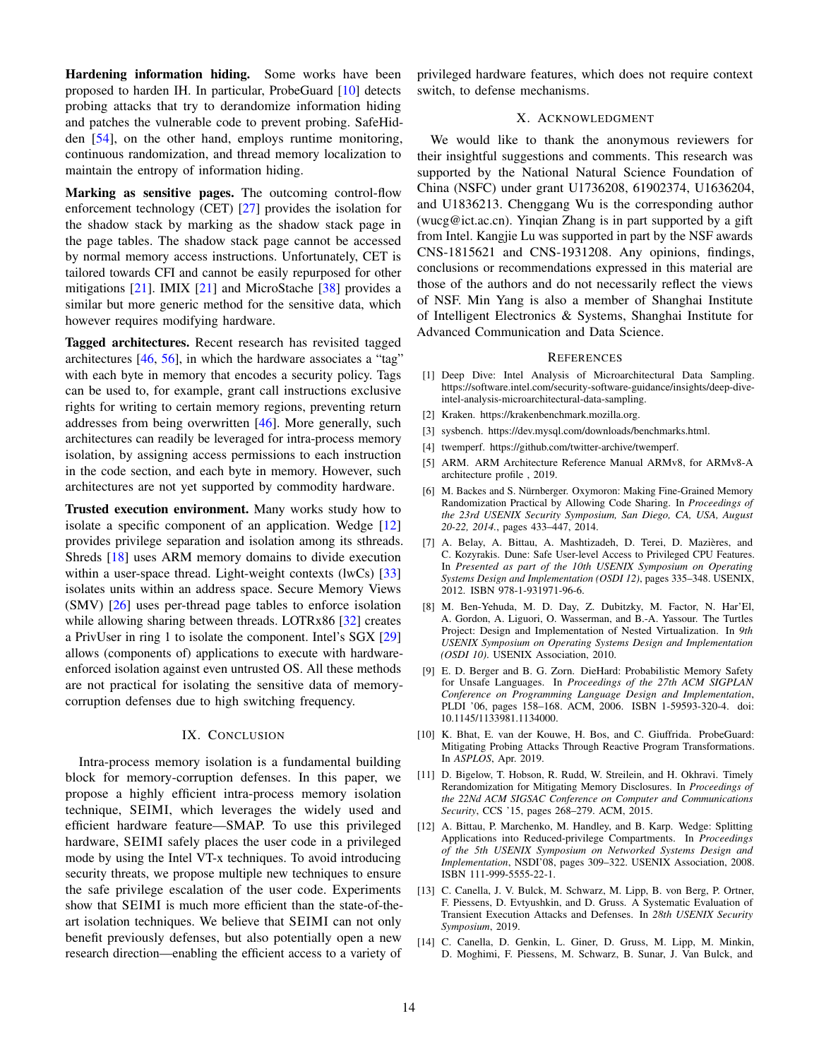Hardening information hiding. Some works have been proposed to harden IH. In particular, ProbeGuard [\[10\]](#page-13-12) detects probing attacks that try to derandomize information hiding and patches the vulnerable code to prevent probing. SafeHidden [\[54\]](#page-15-4), on the other hand, employs runtime monitoring, continuous randomization, and thread memory localization to maintain the entropy of information hiding.

Marking as sensitive pages. The outcoming control-flow enforcement technology (CET) [\[27\]](#page-14-30) provides the isolation for the shadow stack by marking as the shadow stack page in the page tables. The shadow stack page cannot be accessed by normal memory access instructions. Unfortunately, CET is tailored towards CFI and cannot be easily repurposed for other mitigations [\[21\]](#page-14-11). IMIX [\[21\]](#page-14-11) and MicroStache [\[38\]](#page-14-31) provides a similar but more generic method for the sensitive data, which however requires modifying hardware.

Tagged architectures. Recent research has revisited tagged architectures  $[46, 56]$  $[46, 56]$  $[46, 56]$ , in which the hardware associates a "tag" with each byte in memory that encodes a security policy. Tags can be used to, for example, grant call instructions exclusive rights for writing to certain memory regions, preventing return addresses from being overwritten [\[46\]](#page-14-32). More generally, such architectures can readily be leveraged for intra-process memory isolation, by assigning access permissions to each instruction in the code section, and each byte in memory. However, such architectures are not yet supported by commodity hardware.

Trusted execution environment. Many works study how to isolate a specific component of an application. Wedge [\[12\]](#page-13-13) provides privilege separation and isolation among its sthreads. Shreds [\[18\]](#page-14-33) uses ARM memory domains to divide execution within a user-space thread. Light-weight contexts (lwCs) [\[33\]](#page-14-34) isolates units within an address space. Secure Memory Views (SMV) [\[26\]](#page-14-35) uses per-thread page tables to enforce isolation while allowing sharing between threads. LOTRx86 [\[32\]](#page-14-36) creates a PrivUser in ring 1 to isolate the component. Intel's SGX [\[29\]](#page-14-17) allows (components of) applications to execute with hardwareenforced isolation against even untrusted OS. All these methods are not practical for isolating the sensitive data of memorycorruption defenses due to high switching frequency.

## IX. CONCLUSION

Intra-process memory isolation is a fundamental building block for memory-corruption defenses. In this paper, we propose a highly efficient intra-process memory isolation technique, SEIMI, which leverages the widely used and efficient hardware feature—SMAP. To use this privileged hardware, SEIMI safely places the user code in a privileged mode by using the Intel VT-x techniques. To avoid introducing security threats, we propose multiple new techniques to ensure the safe privilege escalation of the user code. Experiments show that SEIMI is much more efficient than the state-of-theart isolation techniques. We believe that SEIMI can not only benefit previously defenses, but also potentially open a new research direction—enabling the efficient access to a variety of privileged hardware features, which does not require context switch, to defense mechanisms.

# X. ACKNOWLEDGMENT

We would like to thank the anonymous reviewers for their insightful suggestions and comments. This research was supported by the National Natural Science Foundation of China (NSFC) under grant U1736208, 61902374, U1636204, and U1836213. Chenggang Wu is the corresponding author (wucg@ict.ac.cn). Yinqian Zhang is in part supported by a gift from Intel. Kangjie Lu was supported in part by the NSF awards CNS-1815621 and CNS-1931208. Any opinions, findings, conclusions or recommendations expressed in this material are those of the authors and do not necessarily reflect the views of NSF. Min Yang is also a member of Shanghai Institute of Intelligent Electronics & Systems, Shanghai Institute for Advanced Communication and Data Science.

#### **REFERENCES**

- <span id="page-13-11"></span>[1] Deep Dive: Intel Analysis of Microarchitectural Data Sampling. https://software.intel.com/security-software-guidance/insights/deep-diveintel-analysis-microarchitectural-data-sampling.
- <span id="page-13-7"></span>[2] Kraken. https://krakenbenchmark.mozilla.org.
- <span id="page-13-5"></span>[3] sysbench. https://dev.mysql.com/downloads/benchmarks.html.
- <span id="page-13-6"></span>[4] twemperf. https://github.com/twitter-archive/twemperf.
- <span id="page-13-4"></span>[5] ARM. ARM Architecture Reference Manual ARMv8, for ARMv8-A architecture profile , 2019.
- <span id="page-13-0"></span>[6] M. Backes and S. Nürnberger. Oxymoron: Making Fine-Grained Memory Randomization Practical by Allowing Code Sharing. In *Proceedings of the 23rd USENIX Security Symposium, San Diego, CA, USA, August 20-22, 2014.*, pages 433–447, 2014.
- <span id="page-13-1"></span>[7] A. Belay, A. Bittau, A. Mashtizadeh, D. Terei, D. Mazières, and C. Kozyrakis. Dune: Safe User-level Access to Privileged CPU Features. In *Presented as part of the 10th USENIX Symposium on Operating Systems Design and Implementation (OSDI 12)*, pages 335–348. USENIX, 2012. ISBN 978-1-931971-96-6.
- <span id="page-13-8"></span>[8] M. Ben-Yehuda, M. D. Day, Z. Dubitzky, M. Factor, N. Har'El, A. Gordon, A. Liguori, O. Wasserman, and B.-A. Yassour. The Turtles Project: Design and Implementation of Nested Virtualization. In *9th USENIX Symposium on Operating Systems Design and Implementation (OSDI 10)*. USENIX Association, 2010.
- <span id="page-13-3"></span>[9] E. D. Berger and B. G. Zorn. DieHard: Probabilistic Memory Safety for Unsafe Languages. In *Proceedings of the 27th ACM SIGPLAN Conference on Programming Language Design and Implementation*, PLDI '06, pages 158–168. ACM, 2006. ISBN 1-59593-320-4. doi: 10.1145/1133981.1134000.
- <span id="page-13-12"></span>[10] K. Bhat, E. van der Kouwe, H. Bos, and C. Giuffrida. ProbeGuard: Mitigating Probing Attacks Through Reactive Program Transformations. In *ASPLOS*, Apr. 2019.
- <span id="page-13-2"></span>[11] D. Bigelow, T. Hobson, R. Rudd, W. Streilein, and H. Okhravi. Timely Rerandomization for Mitigating Memory Disclosures. In *Proceedings of the 22Nd ACM SIGSAC Conference on Computer and Communications Security*, CCS '15, pages 268–279. ACM, 2015.
- <span id="page-13-13"></span>[12] A. Bittau, P. Marchenko, M. Handley, and B. Karp. Wedge: Splitting Applications into Reduced-privilege Compartments. In *Proceedings of the 5th USENIX Symposium on Networked Systems Design and Implementation*, NSDI'08, pages 309–322. USENIX Association, 2008. ISBN 111-999-5555-22-1.
- <span id="page-13-9"></span>[13] C. Canella, J. V. Bulck, M. Schwarz, M. Lipp, B. von Berg, P. Ortner, F. Piessens, D. Evtyushkin, and D. Gruss. A Systematic Evaluation of Transient Execution Attacks and Defenses. In *28th USENIX Security Symposium*, 2019.
- <span id="page-13-10"></span>[14] C. Canella, D. Genkin, L. Giner, D. Gruss, M. Lipp, M. Minkin, D. Moghimi, F. Piessens, M. Schwarz, B. Sunar, J. Van Bulck, and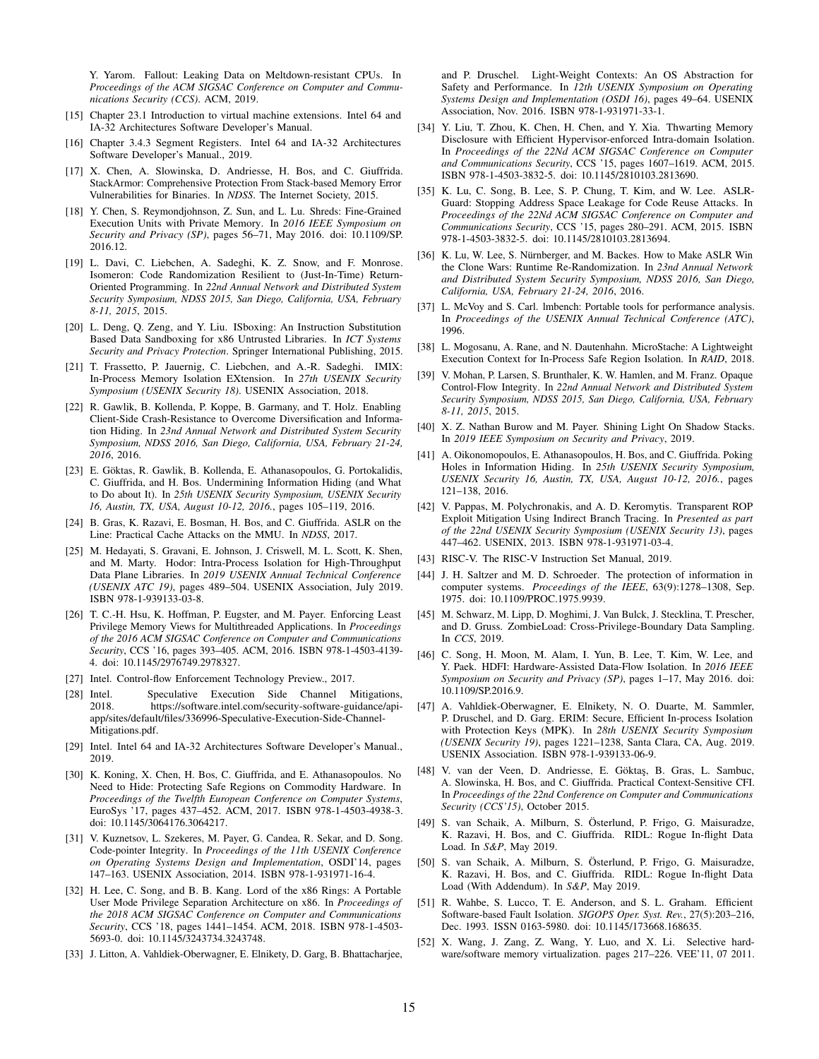Y. Yarom. Fallout: Leaking Data on Meltdown-resistant CPUs. In *Proceedings of the ACM SIGSAC Conference on Computer and Communications Security (CCS)*. ACM, 2019.

- <span id="page-14-16"></span>[15] Chapter 23.1 Introduction to virtual machine extensions. Intel 64 and IA-32 Architectures Software Developer's Manual.
- <span id="page-14-19"></span>[16] Chapter 3.4.3 Segment Registers. Intel 64 and IA-32 Architectures Software Developer's Manual., 2019.
- <span id="page-14-15"></span>[17] X. Chen, A. Slowinska, D. Andriesse, H. Bos, and C. Giuffrida. StackArmor: Comprehensive Protection From Stack-based Memory Error Vulnerabilities for Binaries. In *NDSS*. The Internet Society, 2015.
- <span id="page-14-33"></span>[18] Y. Chen, S. Reymondjohnson, Z. Sun, and L. Lu. Shreds: Fine-Grained Execution Units with Private Memory. In *2016 IEEE Symposium on Security and Privacy (SP)*, pages 56–71, May 2016. doi: 10.1109/SP. 2016.12.
- <span id="page-14-2"></span>[19] L. Davi, C. Liebchen, A. Sadeghi, K. Z. Snow, and F. Monrose. Isomeron: Code Randomization Resilient to (Just-In-Time) Return-Oriented Programming. In *22nd Annual Network and Distributed System Security Symposium, NDSS 2015, San Diego, California, USA, February 8-11, 2015*, 2015.
- <span id="page-14-27"></span>[20] L. Deng, Q. Zeng, and Y. Liu. ISboxing: An Instruction Substitution Based Data Sandboxing for x86 Untrusted Libraries. In *ICT Systems Security and Privacy Protection*. Springer International Publishing, 2015.
- <span id="page-14-11"></span>[21] T. Frassetto, P. Jauernig, C. Liebchen, and A.-R. Sadeghi. IMIX: In-Process Memory Isolation EXtension. In *27th USENIX Security Symposium (USENIX Security 18)*. USENIX Association, 2018.
- <span id="page-14-3"></span>[22] R. Gawlik, B. Kollenda, P. Koppe, B. Garmany, and T. Holz. Enabling Client-Side Crash-Resistance to Overcome Diversification and Information Hiding. In *23nd Annual Network and Distributed System Security Symposium, NDSS 2016, San Diego, California, USA, February 21-24, 2016*, 2016.
- [23] E. Göktas, R. Gawlik, B. Kollenda, E. Athanasopoulos, G. Portokalidis, C. Giuffrida, and H. Bos. Undermining Information Hiding (and What to Do about It). In *25th USENIX Security Symposium, USENIX Security 16, Austin, TX, USA, August 10-12, 2016.*, pages 105–119, 2016.
- <span id="page-14-4"></span>[24] B. Gras, K. Razavi, E. Bosman, H. Bos, and C. Giuffrida. ASLR on the Line: Practical Cache Attacks on the MMU. In *NDSS*, 2017.
- <span id="page-14-8"></span>[25] M. Hedayati, S. Gravani, E. Johnson, J. Criswell, M. L. Scott, K. Shen, and M. Marty. Hodor: Intra-Process Isolation for High-Throughput Data Plane Libraries. In *2019 USENIX Annual Technical Conference (USENIX ATC 19)*, pages 489–504. USENIX Association, July 2019. ISBN 978-1-939133-03-8.
- <span id="page-14-35"></span>[26] T. C.-H. Hsu, K. Hoffman, P. Eugster, and M. Payer. Enforcing Least Privilege Memory Views for Multithreaded Applications. In *Proceedings of the 2016 ACM SIGSAC Conference on Computer and Communications Security*, CCS '16, pages 393–405. ACM, 2016. ISBN 978-1-4503-4139- 4. doi: 10.1145/2976749.2978327.
- <span id="page-14-30"></span>[27] Intel. Control-flow Enforcement Technology Preview., 2017.
- <span id="page-14-21"></span>[28] Intel. Speculative Execution Side Channel Mitigations, 2018. https://software.intel.com/security-software-guidance/apiapp/sites/default/files/336996-Speculative-Execution-Side-Channel-Mitigations.pdf.
- <span id="page-14-17"></span>[29] Intel. Intel 64 and IA-32 Architectures Software Developer's Manual., 2019.
- <span id="page-14-7"></span>[30] K. Koning, X. Chen, H. Bos, C. Giuffrida, and E. Athanasopoulos. No Need to Hide: Protecting Safe Regions on Commodity Hardware. In *Proceedings of the Twelfth European Conference on Computer Systems*, EuroSys '17, pages 437–452. ACM, 2017. ISBN 978-1-4503-4938-3. doi: 10.1145/3064176.3064217.
- <span id="page-14-1"></span>[31] V. Kuznetsov, L. Szekeres, M. Payer, G. Candea, R. Sekar, and D. Song. Code-pointer Integrity. In *Proceedings of the 11th USENIX Conference on Operating Systems Design and Implementation*, OSDI'14, pages 147–163. USENIX Association, 2014. ISBN 978-1-931971-16-4.
- <span id="page-14-36"></span>[32] H. Lee, C. Song, and B. B. Kang. Lord of the x86 Rings: A Portable User Mode Privilege Separation Architecture on x86. In *Proceedings of the 2018 ACM SIGSAC Conference on Computer and Communications Security*, CCS '18, pages 1441–1454. ACM, 2018. ISBN 978-1-4503- 5693-0. doi: 10.1145/3243734.3243748.
- <span id="page-14-34"></span>[33] J. Litton, A. Vahldiek-Oberwagner, E. Elnikety, D. Garg, B. Bhattacharjee,

and P. Druschel. Light-Weight Contexts: An OS Abstraction for Safety and Performance. In *12th USENIX Symposium on Operating Systems Design and Implementation (OSDI 16)*, pages 49–64. USENIX Association, Nov. 2016. ISBN 978-1-931971-33-1.

- <span id="page-14-29"></span>[34] Y. Liu, T. Zhou, K. Chen, H. Chen, and Y. Xia. Thwarting Memory Disclosure with Efficient Hypervisor-enforced Intra-domain Isolation. In *Proceedings of the 22Nd ACM SIGSAC Conference on Computer and Communications Security*, CCS '15, pages 1607–1619. ACM, 2015. ISBN 978-1-4503-3832-5. doi: 10.1145/2810103.2813690.
- <span id="page-14-14"></span>[35] K. Lu, C. Song, B. Lee, S. P. Chung, T. Kim, and W. Lee. ASLR-Guard: Stopping Address Space Leakage for Code Reuse Attacks. In *Proceedings of the 22Nd ACM SIGSAC Conference on Computer and Communications Security*, CCS '15, pages 280–291. ACM, 2015. ISBN 978-1-4503-3832-5. doi: 10.1145/2810103.2813694.
- <span id="page-14-5"></span>[36] K. Lu, W. Lee, S. Nürnberger, and M. Backes. How to Make ASLR Win the Clone Wars: Runtime Re-Randomization. In *23nd Annual Network and Distributed System Security Symposium, NDSS 2016, San Diego, California, USA, February 21-24, 2016*, 2016.
- <span id="page-14-20"></span>[37] L. McVoy and S. Carl. lmbench: Portable tools for performance analysis. In *Proceedings of the USENIX Annual Technical Conference (ATC)*, 1996.
- <span id="page-14-31"></span>[38] L. Mogosanu, A. Rane, and N. Dautenhahn. MicroStache: A Lightweight Execution Context for In-Process Safe Region Isolation. In *RAID*, 2018.
- <span id="page-14-0"></span>[39] V. Mohan, P. Larsen, S. Brunthaler, K. W. Hamlen, and M. Franz. Opaque Control-Flow Integrity. In *22nd Annual Network and Distributed System Security Symposium, NDSS 2015, San Diego, California, USA, February 8-11, 2015*, 2015.
- <span id="page-14-9"></span>[40] X. Z. Nathan Burow and M. Payer. Shining Light On Shadow Stacks. In *2019 IEEE Symposium on Security and Privacy*, 2019.
- <span id="page-14-6"></span>[41] A. Oikonomopoulos, E. Athanasopoulos, H. Bos, and C. Giuffrida. Poking Holes in Information Hiding. In *25th USENIX Security Symposium, USENIX Security 16, Austin, TX, USA, August 10-12, 2016.*, pages 121–138, 2016.
- <span id="page-14-12"></span>[42] V. Pappas, M. Polychronakis, and A. D. Keromytis. Transparent ROP Exploit Mitigation Using Indirect Branch Tracing. In *Presented as part of the 22nd USENIX Security Symposium (USENIX Security 13)*, pages 447–462. USENIX, 2013. ISBN 978-1-931971-03-4.
- <span id="page-14-18"></span>[43] RISC-V. The RISC-V Instruction Set Manual, 2019.
- <span id="page-14-28"></span>[44] J. H. Saltzer and M. D. Schroeder. The protection of information in computer systems. *Proceedings of the IEEE*, 63(9):1278–1308, Sep. 1975. doi: 10.1109/PROC.1975.9939.
- <span id="page-14-23"></span>[45] M. Schwarz, M. Lipp, D. Moghimi, J. Van Bulck, J. Stecklina, T. Prescher, and D. Gruss. ZombieLoad: Cross-Privilege-Boundary Data Sampling. In *CCS*, 2019.
- <span id="page-14-32"></span>[46] C. Song, H. Moon, M. Alam, I. Yun, B. Lee, T. Kim, W. Lee, and Y. Paek. HDFI: Hardware-Assisted Data-Flow Isolation. In *2016 IEEE Symposium on Security and Privacy (SP)*, pages 1–17, May 2016. doi: 10.1109/SP.2016.9.
- <span id="page-14-10"></span>[47] A. Vahldiek-Oberwagner, E. Elnikety, N. O. Duarte, M. Sammler, P. Druschel, and D. Garg. ERIM: Secure, Efficient In-process Isolation with Protection Keys (MPK). In *28th USENIX Security Symposium (USENIX Security 19)*, pages 1221–1238, Santa Clara, CA, Aug. 2019. USENIX Association. ISBN 978-1-939133-06-9.
- <span id="page-14-13"></span>[48] V. van der Veen, D. Andriesse, E. Göktaş, B. Gras, L. Sambuc, A. Slowinska, H. Bos, and C. Giuffrida. Practical Context-Sensitive CFI. In *Proceedings of the 22nd Conference on Computer and Communications Security (CCS'15)*, October 2015.
- <span id="page-14-22"></span>[49] S. van Schaik, A. Milburn, S. Österlund, P. Frigo, G. Maisuradze, K. Razavi, H. Bos, and C. Giuffrida. RIDL: Rogue In-flight Data Load. In *S&P*, May 2019.
- <span id="page-14-24"></span>[50] S. van Schaik, A. Milburn, S. Österlund, P. Frigo, G. Maisuradze, K. Razavi, H. Bos, and C. Giuffrida. RIDL: Rogue In-flight Data Load (With Addendum). In *S&P*, May 2019.
- <span id="page-14-26"></span>[51] R. Wahbe, S. Lucco, T. E. Anderson, and S. L. Graham. Efficient Software-based Fault Isolation. *SIGOPS Oper. Syst. Rev.*, 27(5):203–216, Dec. 1993. ISSN 0163-5980. doi: 10.1145/173668.168635.
- <span id="page-14-25"></span>[52] X. Wang, J. Zang, Z. Wang, Y. Luo, and X. Li. Selective hardware/software memory virtualization. pages 217–226. VEE'11, 07 2011.